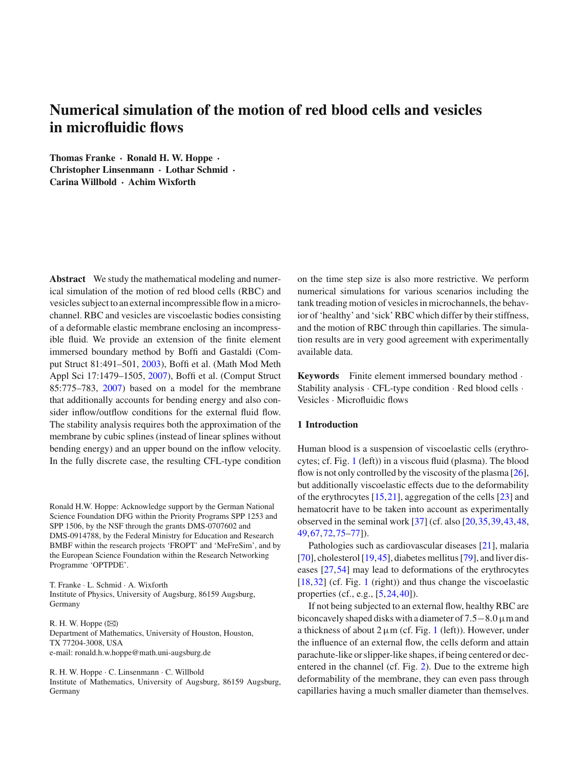# **Numerical simulation of the motion of red blood cells and vesicles in microfluidic flows**

**Thomas Franke · Ronald H. W. Hoppe · Christopher Linsenmann · Lothar Schmid · Carina Willbold · Achim Wixforth**

**Abstract** We study the mathematical modeling and numerical simulation of the motion of red blood cells (RBC) and vesicles subject to an external incompressible flow in a microchannel. RBC and vesicles are viscoelastic bodies consisting of a deformable elastic membrane enclosing an incompressible fluid. We provide an extension of the finite element immersed boundary method by Boffi and Gastaldi (Comput Struct 81:491–501, [2003\)](#page-12-0), Boffi et al. (Math Mod Meth Appl Sci 17:1479–1505, [2007\)](#page-12-1), Boffi et al. (Comput Struct 85:775–783, [2007\)](#page-12-2) based on a model for the membrane that additionally accounts for bending energy and also consider inflow/outflow conditions for the external fluid flow. The stability analysis requires both the approximation of the membrane by cubic splines (instead of linear splines without bending energy) and an upper bound on the inflow velocity. In the fully discrete case, the resulting CFL-type condition

Ronald H.W. Hoppe: Acknowledge support by the German National Science Foundation DFG within the Priority Programs SPP 1253 and SPP 1506, by the NSF through the grants DMS-0707602 and DMS-0914788, by the Federal Ministry for Education and Research BMBF within the research projects 'FROPT' and 'MeFreSim', and by the European Science Foundation within the Research Networking Programme 'OPTPDE'.

T. Franke · L. Schmid · A. Wixforth Institute of Physics, University of Augsburg, 86159 Augsburg, Germany

R. H. W. Hoppe  $(\boxtimes)$ Department of Mathematics, University of Houston, Houston, TX 77204-3008, USA e-mail: ronald.h.w.hoppe@math.uni-augsburg.de

R. H. W. Hoppe · C. Linsenmann · C. Willbold Institute of Mathematics, University of Augsburg, 86159 Augsburg, Germany

on the time step size is also more restrictive. We perform numerical simulations for various scenarios including the tank treading motion of vesiclesin microchannels, the behavior of 'healthy' and 'sick' RBC which differ by their stiffness, and the motion of RBC through thin capillaries. The simulation results are in very good agreement with experimentally available data.

**Keywords** Finite element immersed boundary method · Stability analysis · CFL-type condition · Red blood cells · Vesicles · Microfluidic flows

## <span id="page-0-0"></span>**1 Introduction**

Human blood is a suspension of viscoelastic cells (erythrocytes; cf. Fig. [1](#page-1-0) (left)) in a viscous fluid (plasma). The blood flow is not only controlled by the viscosity of the plasma  $[26]$  $[26]$ , but additionally viscoelastic effects due to the deformability of the erythrocytes [\[15,](#page-12-4)[21\]](#page-12-5), aggregation of the cells [\[23](#page-12-6)] and hematocrit have to be taken into account as experimentally observed in the seminal work [\[37\]](#page-12-7) (cf. also [\[20](#page-12-8)[,35](#page-12-9)[,39](#page-12-10),[43,](#page-13-0)[48,](#page-13-1) [49](#page-13-2)[,67](#page-13-3),[72,](#page-13-4)[75](#page-13-5)[–77\]](#page-13-6)).

Pathologies such as cardiovascular diseases [\[21](#page-12-5)], malaria [\[70](#page-13-7)], cholesterol [\[19](#page-12-11),[45](#page-13-8)], diabetes mellitus [\[79\]](#page-13-9), and liver diseases [\[27](#page-12-12),[54\]](#page-13-10) may lead to deformations of the erythrocytes [\[18](#page-12-13),[32\]](#page-12-14) (cf. Fig. [1](#page-1-0) (right)) and thus change the viscoelastic properties (cf., e.g., [\[5,](#page-12-15)[24](#page-12-16)[,40](#page-12-17)]).

If not being subjected to an external flow, healthy RBC are biconcavely shaped disks with a diameter of 7.5−8.0 µmand a thickness of about  $2 \mu m$  (cf. Fig. [1](#page-1-0) (left)). However, under the influence of an external flow, the cells deform and attain parachute-like orslipper-like shapes, if being centered or decentered in the channel (cf. Fig. [2\)](#page-1-1). Due to the extreme high deformability of the membrane, they can even pass through capillaries having a much smaller diameter than themselves.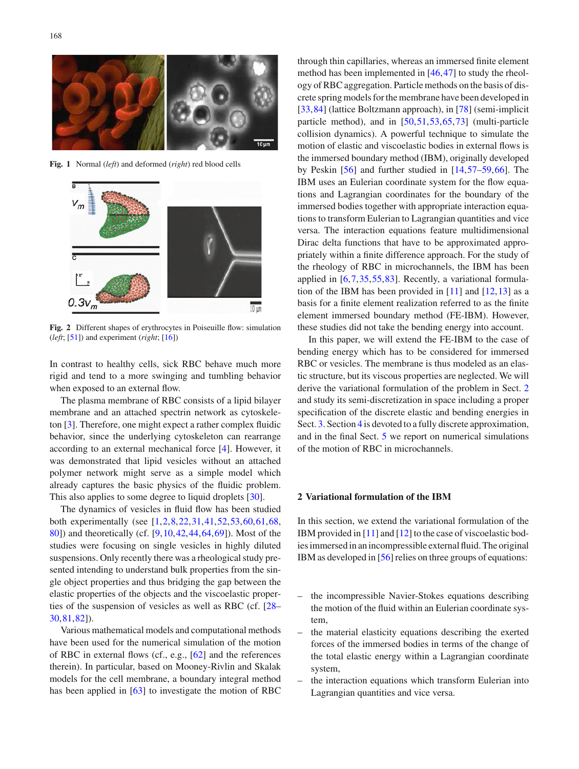

**Fig. 1** Normal (*left*) and deformed (*right*) red blood cells

<span id="page-1-0"></span>

<span id="page-1-1"></span>**Fig. 2** Different shapes of erythrocytes in Poiseuille flow: simulation (*left*; [\[51](#page-13-11)]) and experiment (*right*; [\[16\]](#page-12-18))

In contrast to healthy cells, sick RBC behave much more rigid and tend to a more swinging and tumbling behavior when exposed to an external flow.

The plasma membrane of RBC consists of a lipid bilayer membrane and an attached spectrin network as cytoskeleton [\[3](#page-12-19)]. Therefore, one might expect a rather complex fluidic behavior, since the underlying cytoskeleton can rearrange according to an external mechanical force [\[4](#page-12-20)]. However, it was demonstrated that lipid vesicles without an attached polymer network might serve as a simple model which already captures the basic physics of the fluidic problem. This also applies to some degree to liquid droplets [\[30](#page-12-21)].

The dynamics of vesicles in fluid flow has been studied both experimentally (see [\[1](#page-12-22),[2,](#page-12-23)[8](#page-12-24)[,22](#page-12-25)[,31](#page-12-26),[41,](#page-13-12)[52,](#page-13-13)[53](#page-13-14)[,60](#page-13-15)[,61](#page-13-16),[68,](#page-13-17) [80\]](#page-13-18)) and theoretically (cf. [\[9,](#page-12-27)[10](#page-12-28)[,42](#page-13-19)[,44](#page-13-20),[64,](#page-13-21)[69\]](#page-13-22)). Most of the studies were focusing on single vesicles in highly diluted suspensions. Only recently there was a rheological study presented intending to understand bulk properties from the single object properties and thus bridging the gap between the elastic properties of the objects and the viscoelastic properties of the suspension of vesicles as well as RBC (cf. [\[28](#page-12-29)– [30](#page-12-21)[,81](#page-13-23)[,82](#page-13-24)]).

Various mathematical models and computational methods have been used for the numerical simulation of the motion of RBC in external flows (cf., e.g., [\[62\]](#page-13-25) and the references therein). In particular, based on Mooney-Rivlin and Skalak models for the cell membrane, a boundary integral method has been applied in  $[63]$  to investigate the motion of RBC through thin capillaries, whereas an immersed finite element method has been implemented in [\[46](#page-13-27)[,47](#page-13-28)] to study the rheology ofRBCaggregation. Particle methods on the basis of discrete spring models for the membrane have been developed in [\[33](#page-12-30),[84\]](#page-13-29) (lattice Boltzmann approach), in [\[78](#page-13-30)] (semi-implicit particle method), and in [\[50](#page-13-31)[,51](#page-13-11)[,53](#page-13-14),[65](#page-13-32),[73\]](#page-13-33) (multi-particle collision dynamics). A powerful technique to simulate the motion of elastic and viscoelastic bodies in external flows is the immersed boundary method (IBM), originally developed by Peskin [\[56\]](#page-13-34) and further studied in [\[14,](#page-12-31)[57](#page-13-35)[–59](#page-13-36)[,66](#page-13-37)]. The IBM uses an Eulerian coordinate system for the flow equations and Lagrangian coordinates for the boundary of the immersed bodies together with appropriate interaction equations to transform Eulerian to Lagrangian quantities and vice versa. The interaction equations feature multidimensional Dirac delta functions that have to be approximated appropriately within a finite difference approach. For the study of the rheology of RBC in microchannels, the IBM has been applied in [\[6](#page-12-32),[7](#page-12-33),[35,](#page-12-9)[55](#page-13-38)[,83](#page-13-39)]. Recently, a variational formulation of the IBM has been provided in  $[11]$  $[11]$  and  $[12, 13]$  $[12, 13]$  $[12, 13]$  $[12, 13]$  as a basis for a finite element realization referred to as the finite element immersed boundary method (FE-IBM). However, these studies did not take the bending energy into account.

In this paper, we will extend the FE-IBM to the case of bending energy which has to be considered for immersed RBC or vesicles. The membrane is thus modeled as an elastic structure, but its viscous properties are neglected. We will derive the variational formulation of the problem in Sect. [2](#page-1-2) and study its semi-discretization in space including a proper specification of the discrete elastic and bending energies in Sect. [3.](#page-5-0) Section [4](#page-7-0) is devoted to a fully discrete approximation, and in the final Sect. [5](#page-10-0) we report on numerical simulations of the motion of RBC in microchannels.

### <span id="page-1-2"></span>**2 Variational formulation of the IBM**

In this section, we extend the variational formulation of the IBM provided in [\[11](#page-12-0)] and [\[12\]](#page-12-1) to the case of viscoelastic bodiesimmersed in an incompressible external fluid.The original IBM as developed in [\[56\]](#page-13-34) relies on three groups of equations:

- the incompressible Navier-Stokes equations describing the motion of the fluid within an Eulerian coordinate system,
- the material elasticity equations describing the exerted forces of the immersed bodies in terms of the change of the total elastic energy within a Lagrangian coordinate system,
- the interaction equations which transform Eulerian into Lagrangian quantities and vice versa.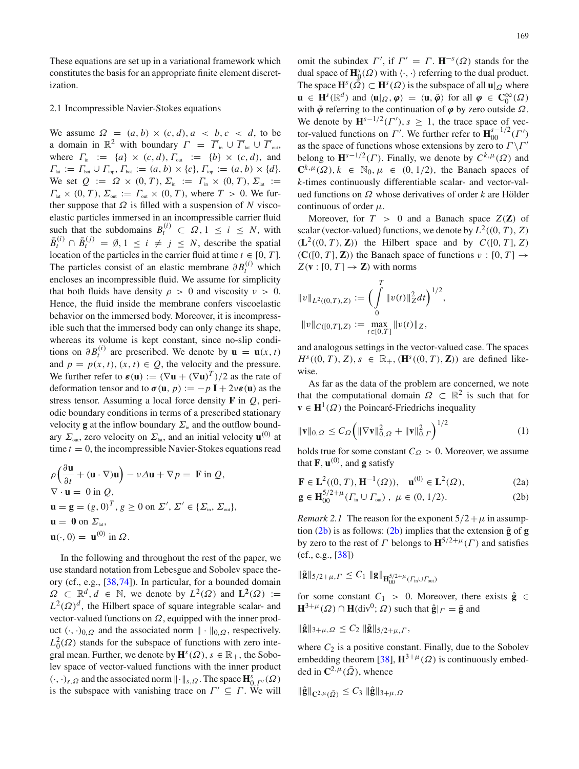These equations are set up in a variational framework which constitutes the basis for an appropriate finite element discretization.

## 2.1 Incompressible Navier-Stokes equations

We assume  $\Omega = (a, b) \times (c, d), a < b, c < d$ , to be a domain in  $\mathbb{R}^2$  with boundary  $\Gamma = \overline{\Gamma}_{in} \cup \overline{\Gamma}_{out} \cup \overline{\Gamma}_{out}$ where  $\Gamma_{\text{in}} := \{a\} \times (c, d), \Gamma_{\text{out}} := \{b\} \times (c, d),$  and  $\Gamma_{\text{lat}} := \Gamma_{\text{bot}} \cup \Gamma_{\text{top}}$ ,  $\Gamma_{\text{bot}} := (a, b) \times \{c\}$ ,  $\Gamma_{\text{top}} := (a, b) \times \{d\}$ . We set  $Q := \Omega \times (0, T), \Sigma_{\text{in}} := \Gamma_{\text{in}} \times (0, T), \Sigma_{\text{lat}} :=$  $\Gamma_{\text{lat}} \times (0, T), \Sigma_{\text{out}} := \Gamma_{\text{out}} \times (0, T),$  where  $T > 0$ . We further suppose that  $\Omega$  is filled with a suspension of *N* viscoelastic particles immersed in an incompressible carrier fluid such that the subdomains  $B_i^{(i)} \subset \Omega, 1 \le i \le N$ , with  $\bar{B}^{(i)}_t \cap \bar{B}^{(j)}_t = \emptyset, 1 \leq i \neq j \leq N$ , describe the spatial location of the particles in the carrier fluid at time  $t \in [0, T]$ . The particles consist of an elastic membrane  $\partial B_t^{(i)}$  which encloses an incompressible fluid. We assume for simplicity that both fluids have density  $\rho > 0$  and viscosity  $\nu > 0$ . Hence, the fluid inside the membrane confers viscoelastic behavior on the immersed body. Moreover, it is incompressible such that the immersed body can only change its shape, whereas its volume is kept constant, since no-slip conditions on  $\partial B_t^{(i)}$  are prescribed. We denote by  $\mathbf{u} = \mathbf{u}(x, t)$ and  $p = p(x, t)$ ,  $(x, t) \in Q$ , the velocity and the pressure. We further refer to  $\varepsilon(\mathbf{u}) := (\nabla \mathbf{u} + (\nabla \mathbf{u})^T)/2$  as the rate of deformation tensor and to  $\sigma(\mathbf{u}, p) := -p \mathbf{I} + 2\nu \varepsilon(\mathbf{u})$  as the stress tensor. Assuming a local force density **F** in *Q*, periodic boundary conditions in terms of a prescribed stationary velocity **g** at the inflow boundary  $\Sigma$ <sub>in</sub> and the outflow boundary  $\Sigma_{\text{out}}$ , zero velocity on  $\Sigma_{\text{lat}}$ , and an initial velocity  $\mathbf{u}^{(0)}$  at time  $t = 0$ , the incompressible Navier-Stokes equations read

$$
\rho\left(\frac{\partial \mathbf{u}}{\partial t} + (\mathbf{u} \cdot \nabla)\mathbf{u}\right) - \nu \Delta \mathbf{u} + \nabla p = \mathbf{F} \text{ in } Q, \n\nabla \cdot \mathbf{u} = 0 \text{ in } Q, \n\mathbf{u} = \mathbf{g} = (g, 0)^T, g \ge 0 \text{ on } \Sigma', \Sigma' \in \{\Sigma_{\text{in}}, \Sigma_{\text{out}}\}, \n\mathbf{u} = \mathbf{0} \text{ on } \Sigma_{\text{lat}}, \n\mathbf{u}(\cdot, 0) = \mathbf{u}^{(0)} \text{ in } \Omega.
$$

In the following and throughout the rest of the paper, we use standard notation from Lebesgue and Sobolev space theory (cf., e.g., [\[38,](#page-12-34)[74\]](#page-13-40)). In particular, for a bounded domain  $\Omega \subset \mathbb{R}^d, d \in \mathbb{N}$ , we denote by  $L^2(\Omega)$  and  $L^2(\Omega) :=$  $L^2(\Omega)^d$ , the Hilbert space of square integrable scalar- and vector-valued functions on  $\Omega$ , equipped with the inner product  $(\cdot, \cdot)_{0,\Omega}$  and the associated norm  $\|\cdot\|_{0,\Omega}$ , respectively.  $L_0^2(\Omega)$  stands for the subspace of functions with zero integral mean. Further, we denote by  $\mathbf{H}^{s}(\Omega)$ ,  $s \in \mathbb{R}_{+}$ , the Sobolev space of vector-valued functions with the inner product  $(\cdot, \cdot)_{s,\Omega}$  and the associated norm  $\|\cdot\|_{s,\Omega}$ . The space  $\mathbf{H}_{0,\Gamma'}^s(\Omega)$ is the subspace with vanishing trace on  $\Gamma' \subseteq \Gamma$ . We will

omit the subindex  $\Gamma'$ , if  $\Gamma' = \Gamma$ .  $\mathbf{H}^{-s}(\Omega)$  stands for the dual space of  $\mathbf{H}_{0}^{s}(\Omega)$  with  $\langle \cdot, \cdot \rangle$  referring to the dual product. The space  $\mathbf{H}^s(\tilde{\Omega}) \subset \mathbf{H}^s(\Omega)$  is the subspace of all  $\mathbf{u}|_{\Omega}$  where **u** ∈ **H**<sup>*s*</sup>( $\mathbb{R}^d$ ) and  $\langle \mathbf{u} |_{\Omega}, \varphi \rangle = \langle \mathbf{u}, \tilde{\varphi} \rangle$  for all  $\varphi \in \mathbb{C}_0^{\infty}(\Omega)$ with  $\tilde{\varphi}$  referring to the continuation of  $\varphi$  by zero outside  $\Omega$ . We denote by  $\mathbf{H}^{s-1/2}(\Gamma'), s \geq 1$ , the trace space of vector-valued functions on  $\Gamma'$ . We further refer to  $\mathbf{H}_{00}^{s-1/2}$  $\frac{s-1/2}{00}(\Gamma')$ as the space of functions whose extensions by zero to  $\Gamma \backslash \Gamma'$ belong to  $\mathbf{H}^{s-1/2}(\Gamma)$ . Finally, we denote by  $C^{k,\mu}(\Omega)$  and  $\mathbb{C}^{k,\mu}(\Omega)$ ,  $k \in \mathbb{N}_0$ ,  $\mu \in (0, 1/2)$ , the Banach spaces of *k*-times continuously differentiable scalar- and vector-valued functions on Ω whose derivatives of order *k* are Hölder continuous of order  $\mu$ .

Moreover, for  $T > 0$  and a Banach space  $Z(\mathbf{Z})$  of scalar (vector-valued) functions, we denote by  $L^2((0, T), Z)$  $(L^2((0, T), \mathbb{Z}))$  the Hilbert space and by  $C([0, T], Z)$  $({\bf C}([0, T], {\bf Z}))$  the Banach space of functions  $v : [0, T] \rightarrow$  $Z(\mathbf{v} : [0, T] \to \mathbf{Z})$  with norms

$$
||v||_{L^2((0,T),Z)} := \left(\int\limits_0^T ||v(t)||_Z^2 dt\right)^{1/2},
$$
  

$$
||v||_{C([0,T],Z)} := \max_{t \in [0,T]} ||v(t)||_Z,
$$

and analogous settings in the vector-valued case. The spaces *H*<sup>*s*</sup>((0, *T*), *Z*), *s*  $\in \mathbb{R}_+$ , (**H**<sup>*s*</sup>((0, *T*), **Z**)) are defined likewise.

As far as the data of the problem are concerned, we note that the computational domain  $\Omega \subset \mathbb{R}^2$  is such that for  $\mathbf{v} \in \mathbf{H}^1(\Omega)$  the Poincaré-Friedrichs inequality

<span id="page-2-1"></span>
$$
\|\mathbf{v}\|_{0,\Omega} \le C_{\Omega} \left( \|\nabla \mathbf{v}\|_{0,\Omega}^2 + \|\mathbf{v}\|_{0,\Gamma}^2 \right)^{1/2} \tag{1}
$$

holds true for some constant  $C_{\Omega} > 0$ . Moreover, we assume that  $\mathbf{F}$ ,  $\mathbf{u}^{(0)}$ , and **g** satisfy

<span id="page-2-0"></span>
$$
\mathbf{F} \in \mathbf{L}^{2}((0, T), \mathbf{H}^{-1}(\Omega)), \quad \mathbf{u}^{(0)} \in \mathbf{L}^{2}(\Omega), \tag{2a}
$$

$$
\mathbf{g} \in \mathbf{H}_{00}^{3/2+\mu}(\Gamma_{\text{in}} \cup \Gamma_{\text{out}}), \ \mu \in (0, 1/2). \tag{2b}
$$

<span id="page-2-2"></span>*Remark* 2.1 The reason for the exponent  $5/2 + \mu$  in assumption  $(2b)$  is as follows:  $(2b)$  implies that the extension  $\tilde{g}$  of  $g$ by zero to the rest of  $\Gamma$  belongs to  $\mathbf{H}^{5/2+\mu}(\Gamma)$  and satisfies (cf., e.g., [\[38](#page-12-34)])

$$
\| \tilde{\mathbf{g}} \|_{5/2 + \mu, \varGamma} \leq C_1 \; \| \mathbf{g} \|_{\mathbf{H}_{00}^{5/2 + \mu}(\varGamma_{\text{in}} \cup \varGamma_{\text{out}})}
$$

for some constant  $C_1 > 0$ . Moreover, there exists  $\hat{\mathbf{g}} \in \mathbb{R}$  $\mathbf{H}^{3+\mu}(\Omega) \cap \mathbf{H}(\text{div}^{0}; \Omega)$  such that  $\hat{\mathbf{g}}|_{\Gamma} = \tilde{\mathbf{g}}$  and

$$
\|\hat{\mathbf{g}}\|_{3+\mu,\Omega} \leq C_2 \|\tilde{\mathbf{g}}\|_{5/2+\mu,\Gamma},
$$

where  $C_2$  is a positive constant. Finally, due to the Sobolev embedding theorem [\[38](#page-12-34)],  $\mathbf{H}^{3+\mu}(\Omega)$  is continuously embedded in  $\mathbb{C}^{2,\mu}(\bar{\Omega})$ , whence

$$
\|\hat{\mathbf{g}}\|_{\mathbf{C}^{2,\mu}(\bar{\Omega})} \leq C_3 \|\hat{\mathbf{g}}\|_{3+\mu,\Omega}
$$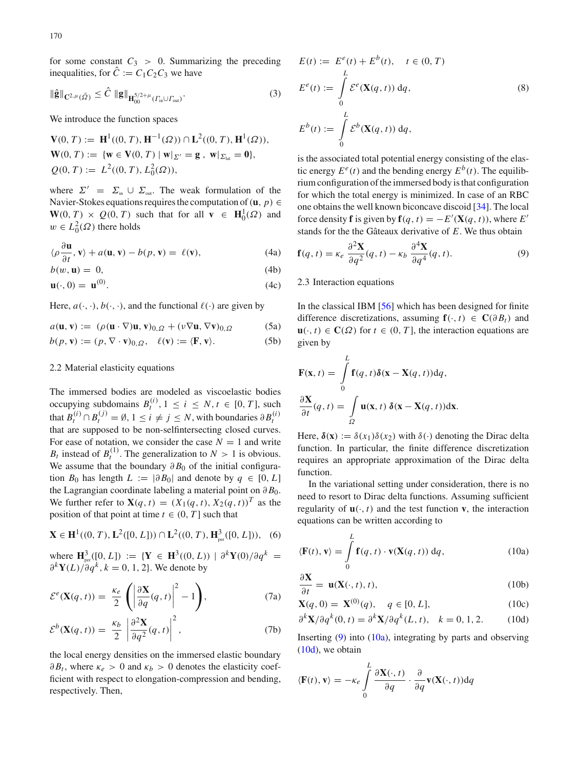for some constant  $C_3 > 0$ . Summarizing the preceding inequalities, for  $\hat{C} := C_1 C_2 C_3$  we have

<span id="page-3-5"></span>
$$
\|\hat{\mathbf{g}}\|_{\mathbf{C}^{2,\mu}(\bar{\Omega})} \leq \hat{C} \|\mathbf{g}\|_{\mathbf{H}_{00}^{5/2+\mu}(T_{\text{in}} \cup T_{\text{out}})}.
$$
\n(3)

We introduce the function spaces

 $V(0, T) := H^1((0, T), H^{-1}(\Omega)) \cap L^2((0, T), H^1(\Omega)),$  $\mathbf{W}(0, T) := \{ \mathbf{w} \in \mathbf{V}(0, T) \mid \mathbf{w} |_{\Sigma'} = \mathbf{g}, \mathbf{w} |_{\Sigma_{\text{tot}}} = \mathbf{0} \},\$  $Q(0, T) := L^2((0, T), L_0^2(\Omega)),$ 

where  $\Sigma' = \Sigma_{in} \cup \Sigma_{out}$ . The weak formulation of the Navier-Stokes equations requires the computation of ( $\mathbf{u}, p$ ) ∈  $W(0, T) \times Q(0, T)$  such that for all  $v \in H_0^1(\Omega)$  and  $w \in L_0^2(\Omega)$  there holds

<span id="page-3-3"></span>
$$
\langle \rho \frac{\partial \mathbf{u}}{\partial t}, \mathbf{v} \rangle + a(\mathbf{u}, \mathbf{v}) - b(p, \mathbf{v}) = \ell(\mathbf{v}), \tag{4a}
$$

$$
b(w, \mathbf{u}) = 0,\tag{4b}
$$

$$
\mathbf{u}(\cdot,0) = \mathbf{u}^{(0)}.\tag{4c}
$$

Here,  $a(\cdot, \cdot)$ ,  $b(\cdot, \cdot)$ , and the functional  $\ell(\cdot)$  are given by

$$
a(\mathbf{u}, \mathbf{v}) := (\rho(\mathbf{u} \cdot \nabla)\mathbf{u}, \mathbf{v})_{0,\Omega} + (\nu \nabla \mathbf{u}, \nabla \mathbf{v})_{0,\Omega} \tag{5a}
$$

$$
b(p, \mathbf{v}) := (p, \nabla \cdot \mathbf{v})_{0, \Omega}, \quad \ell(\mathbf{v}) := \langle \mathbf{F}, \mathbf{v} \rangle.
$$
 (5b)

#### 2.2 Material elasticity equations

The immersed bodies are modeled as viscoelastic bodies occupying subdomains  $B_t^{(i)}$ ,  $1 \le i \le N$ ,  $t \in [0, T]$ , such that  $B_t^{(i)} \cap B_t^{(j)} = \emptyset$ ,  $1 \le i \ne j \le N$ , with boundaries  $\partial B_t^{(i)}$ that are supposed to be non-selfintersecting closed curves. For ease of notation, we consider the case  $N = 1$  and write  $B_t$  instead of  $B_t^{(1)}$ . The generalization to  $N > 1$  is obvious. We assume that the boundary  $\partial B_0$  of the initial configuration  $B_0$  has length  $L := |\partial B_0|$  and denote by  $q \in [0, L]$ the Lagrangian coordinate labeling a material point on  $\partial B_0$ . We further refer to  $\mathbf{X}(q, t) = (X_1(q, t), X_2(q, t))^T$  as the position of that point at time  $t \in (0, T]$  such that

<span id="page-3-2"></span>
$$
\mathbf{X} \in \mathbf{H}^{1}((0, T), \mathbf{L}^{2}([0, L])) \cap \mathbf{L}^{2}((0, T), \mathbf{H}_{\text{per}}^{3}([0, L])), \quad (6)
$$

where  $\mathbf{H}_{per}^3([0, L]) := \{ \mathbf{Y} \in \mathbf{H}^3((0, L)) | \partial^k \mathbf{Y}(0) / \partial q^k =$  $\partial^{k} Y(L)/\partial q^{k}$ ,  $k = 0, 1, 2$ . We denote by

$$
\mathcal{E}^{e}(\mathbf{X}(q,t)) = \frac{\kappa_e}{2} \left( \left| \frac{\partial \mathbf{X}}{\partial q}(q,t) \right|^2 - 1 \right), \tag{7a}
$$

$$
\mathcal{E}^{b}(\mathbf{X}(q,t)) = \frac{\kappa_b}{2} \left| \frac{\partial^2 \mathbf{X}}{\partial q^2}(q,t) \right|^2, \tag{7b}
$$

the local energy densities on the immersed elastic boundary  $\partial B_t$ , where  $\kappa_e > 0$  and  $\kappa_b > 0$  denotes the elasticity coefficient with respect to elongation-compression and bending, respectively. Then,

$$
E(t) := E^{e}(t) + E^{b}(t), \quad t \in (0, T)
$$
  
\n
$$
E^{e}(t) := \int_{0}^{L} \mathcal{E}^{e}(\mathbf{X}(q, t)) dq,
$$
  
\n
$$
E^{b}(t) := \int_{0}^{L} \mathcal{E}^{b}(\mathbf{X}(q, t)) dq,
$$
  
\n(8)

is the associated total potential energy consisting of the elastic energy  $E^e(t)$  and the bending energy  $E^b(t)$ . The equilibrium configuration of the immersed body is that configuration for which the total energy is minimized. In case of an RBC one obtains the well known biconcave discoid [\[34](#page-12-35)]. The local force density **f** is given by **f**( $q$ ,  $t$ ) =  $-E'(\mathbf{X}(q, t))$ , where  $E'$ stands for the the Gâteaux derivative of *E*. We thus obtain

<span id="page-3-0"></span>
$$
\mathbf{f}(q,t) = \kappa_e \, \frac{\partial^2 \mathbf{X}}{\partial q^2} (q,t) - \kappa_b \, \frac{\partial^4 \mathbf{X}}{\partial q^4} (q,t). \tag{9}
$$

## 2.3 Interaction equations

In the classical IBM [\[56](#page-13-34)] which has been designed for finite difference discretizations, assuming  $f(\cdot, t) \in C(\partial B_t)$  and  $\mathbf{u}(\cdot, t) \in \mathbb{C}(\Omega)$  for  $t \in (0, T]$ , the interaction equations are given by

$$
\mathbf{F}(\mathbf{x}, t) = \int_{0}^{L} \mathbf{f}(q, t) \delta(\mathbf{x} - \mathbf{X}(q, t)) dq,
$$
  

$$
\frac{\partial \mathbf{X}}{\partial t}(q, t) = \int_{\Omega} \mathbf{u}(\mathbf{x}, t) \delta(\mathbf{x} - \mathbf{X}(q, t)) d\mathbf{x}.
$$

Here,  $\delta(\mathbf{x}) := \delta(x_1)\delta(x_2)$  with  $\delta(\cdot)$  denoting the Dirac delta function. In particular, the finite difference discretization requires an appropriate approximation of the Dirac delta function.

In the variational setting under consideration, there is no need to resort to Dirac delta functions. Assuming sufficient regularity of  $\mathbf{u}(\cdot, t)$  and the test function **v**, the interaction equations can be written according to

<span id="page-3-1"></span>
$$
\langle \mathbf{F}(t), \mathbf{v} \rangle = \int_{0}^{L} \mathbf{f}(q, t) \cdot \mathbf{v}(\mathbf{X}(q, t)) \, dq,\tag{10a}
$$

$$
\frac{\partial \mathbf{X}}{\partial t} = \mathbf{u}(\mathbf{X}(\cdot, t), t), \tag{10b}
$$

$$
\mathbf{X}(q,0) = \mathbf{X}^{(0)}(q), \quad q \in [0,L], \tag{10c}
$$

$$
\partial^k \mathbf{X} / \partial q^k(0, t) = \partial^k \mathbf{X} / \partial q^k(L, t), \quad k = 0, 1, 2. \tag{10d}
$$

Inserting  $(9)$  into  $(10a)$ , integrating by parts and observing  $(10d)$ , we obtain

<span id="page-3-4"></span>
$$
\langle \mathbf{F}(t), \mathbf{v} \rangle = -\kappa_e \int_0^L \frac{\partial \mathbf{X}(\cdot, t)}{\partial q} \cdot \frac{\partial}{\partial q} \mathbf{v}(\mathbf{X}(\cdot, t)) dq
$$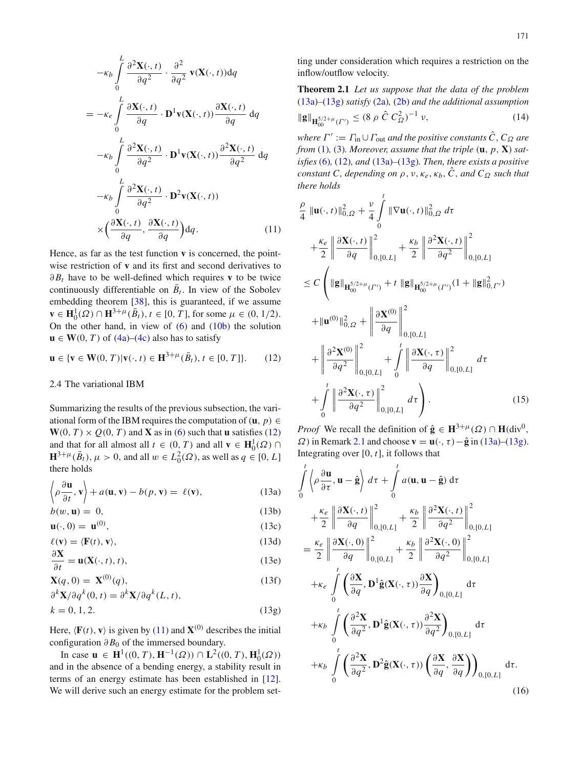$$
-\kappa_b \int_0^L \frac{\partial^2 \mathbf{X}(\cdot, t)}{\partial q^2} \cdot \frac{\partial^2}{\partial q^2} \mathbf{v}(\mathbf{X}(\cdot, t)) dq
$$
  
\n
$$
= -\kappa_e \int_0^L \frac{\partial \mathbf{X}(\cdot, t)}{\partial q} \cdot \mathbf{D}^1 \mathbf{v}(\mathbf{X}(\cdot, t)) \frac{\partial \mathbf{X}(\cdot, t)}{\partial q} dq
$$
  
\n
$$
-\kappa_b \int_0^L \frac{\partial^2 \mathbf{X}(\cdot, t)}{\partial q^2} \cdot \mathbf{D}^1 \mathbf{v}(\mathbf{X}(\cdot, t)) \frac{\partial^2 \mathbf{X}(\cdot, t)}{\partial q^2} dq
$$
  
\n
$$
-\kappa_b \int_0^L \frac{\partial^2 \mathbf{X}(\cdot, t)}{\partial q^2} \cdot \mathbf{D}^2 \mathbf{v}(\mathbf{X}(\cdot, t))
$$
  
\n
$$
\times \left(\frac{\partial \mathbf{X}(\cdot, t)}{\partial q}, \frac{\partial \mathbf{X}(\cdot, t)}{\partial q}\right) dq.
$$
 (11)

Hence, as far as the test function **v** is concerned, the pointwise restriction of **v** and its first and second derivatives to  $\partial B_t$  have to be well-defined which requires **v** to be twice continuously differentiable on  $\bar{B}_t$ . In view of the Sobolev embedding theorem [\[38](#page-12-34)], this is guaranteed, if we assume  $\mathbf{v} \in \mathbf{H}_0^1(\Omega) \cap \mathbf{H}^{3+\mu}(\bar{B}_t), t \in [0, T]$ , for some  $\mu \in (0, 1/2)$ . On the other hand, in view of  $(6)$  and  $(10b)$  the solution  $\mathbf{u} \in \mathbf{W}(0, T)$  of  $(4a)$ – $(4c)$  also has to satisfy

<span id="page-4-0"></span>
$$
\mathbf{u} \in \{\mathbf{v} \in \mathbf{W}(0, T) | \mathbf{v}(\cdot, t) \in \mathbf{H}^{3 + \mu}(\bar{B}_t), t \in [0, T] \}.
$$
 (12)

## 2.4 The variational IBM

Summarizing the results of the previous subsection, the variational form of the IBM requires the computation of ( $\mathbf{u}, p$ ) ∈  $W(0, T) \times Q(0, T)$  and **X** as in [\(6\)](#page-3-2) such that **u** satisfies [\(12\)](#page-4-0) and that for all almost all  $t \in (0, T)$  and all  $\mathbf{v} \in \mathbf{H}_0^1(\Omega) \cap$  $\mathbf{H}^{3+\mu}(\bar{B}_t), \mu > 0$ , and all  $w \in L_0^2(\Omega)$ , as well as  $q \in [0, L]$ there holds

<span id="page-4-1"></span>
$$
\left\langle \rho \frac{\partial \mathbf{u}}{\partial t}, \mathbf{v} \right\rangle + a(\mathbf{u}, \mathbf{v}) - b(p, \mathbf{v}) = \ell(\mathbf{v}), \tag{13a}
$$

$$
b(w, \mathbf{u}) = 0,\tag{13b}
$$

$$
\mathbf{u}(\cdot,0) = \mathbf{u}^{(0)},\tag{13c}
$$

$$
\ell(\mathbf{v}) = \langle \mathbf{F}(t), \mathbf{v} \rangle, \tag{13d}
$$

$$
\frac{\partial \mathbf{x}}{\partial t} = \mathbf{u}(\mathbf{X}(\cdot, t), t), \tag{13e}
$$

$$
\mathbf{X}(q,0) = \mathbf{X}^{(0)}(q),\tag{13f}
$$

$$
\partial^{k} \mathbf{X} / \partial q^{k}(0, t) = \partial^{k} \mathbf{X} / \partial q^{k}(L, t),
$$
  
\n
$$
k = 0, 1, 2.
$$
 (13g)

Here,  $\langle \mathbf{F}(t), \mathbf{v} \rangle$  is given by [\(11\)](#page-3-4) and  $\mathbf{X}^{(0)}$  describes the initial configuration  $\partial B_0$  of the immersed boundary.

In case **u** ∈ **H**<sup>1</sup>((0, *T*), **H**<sup>-1</sup>(Ω)) ∩ **L**<sup>2</sup>((0, *T*), **H**<sub>0</sub><sup>1</sup>(Ω)) and in the absence of a bending energy, a stability result in terms of an energy estimate has been established in [\[12](#page-12-1)]. We will derive such an energy estimate for the problem set<span id="page-4-5"></span>ting under consideration which requires a restriction on the inflow/outflow velocity.

**Theorem 2.1** *Let us suppose that the data of the problem* [\(13a\)](#page-4-1)*–*[\(13g\)](#page-4-1) *satisfy* [\(2a\)](#page-2-0)*,* [\(2b\)](#page-2-0) *and the additional assumption*  $\|\mathbf{g}\|_{\mathbf{H}_{00}^{5/2+\mu}(\Gamma')} \leq (8 \rho \hat{C} C_{\Omega}^2)^{-1}$  $(14)$ 

<span id="page-4-4"></span>*where*  $\Gamma' := \Gamma_{\text{in}} \cup \Gamma_{\text{out}}$  *and the positive constants*  $\hat{C}$ *, C*<sub> $\Omega$ </sub> are *from* [\(1\)](#page-2-1), [\(3\)](#page-3-5)*. Moreover, assume that the triple*  $(\mathbf{u}, p, \mathbf{X})$  *satisfies* [\(6\)](#page-3-2)*,* [\(12\)](#page-4-0)*, and* [\(13a\)](#page-4-1)*–*[\(13g\)](#page-4-1)*. Then, there exists a positive constant C*, *depending on*  $\rho$ ,  $\nu$ ,  $\kappa_e$ ,  $\kappa_b$ ,  $\hat{C}$ , and  $C_{\Omega}$  such that *there holds*

<span id="page-4-3"></span>
$$
\frac{\rho}{4} ||\mathbf{u}(\cdot, t)||_{0,\Omega}^{2} + \frac{\nu}{4} \int_{0}^{t} ||\nabla \mathbf{u}(\cdot, t)||_{0,\Omega}^{2} d\tau \n+ \frac{\kappa_{e}}{2} \left\| \frac{\partial \mathbf{X}(\cdot, t)}{\partial q} \right\|_{0,[0,L]}^{2} + \frac{\kappa_{b}}{2} \left\| \frac{\partial^{2} \mathbf{X}(\cdot, t)}{\partial q^{2}} \right\|_{0,[0,L]}^{2} \n\leq C \left( ||\mathbf{g}||_{\mathbf{H}_{00}^{5/2+\mu}(\Gamma')} + t ||\mathbf{g}||_{\mathbf{H}_{00}^{5/2+\mu}(\Gamma')} (1 + ||\mathbf{g}||_{0,\Gamma'}^{2}) \n+ ||\mathbf{u}^{(0)}||_{0,\Omega}^{2} + \left\| \frac{\partial \mathbf{X}^{(0)}}{\partial q} \right\|_{0,[0,L]}^{2} \n+ \left\| \frac{\partial^{2} \mathbf{X}^{(0)}}{\partial q^{2}} \right\|_{0,[0,L]}^{2} + \int_{0}^{t} \left\| \frac{\partial \mathbf{X}(\cdot, \tau)}{\partial q} \right\|_{0,[0,L]}^{2} d\tau \n+ \int_{0}^{t} \left\| \frac{\partial^{2} \mathbf{X}(\cdot, \tau)}{\partial q^{2}} \right\|_{0,[0,L]}^{2} d\tau \right). \tag{15}
$$

*Proof* We recall the definition of  $\hat{\mathbf{g}} \in \mathbf{H}^{3+\mu}(\Omega) \cap \mathbf{H}(\text{div}^0)$ ,  $\Omega$ ) in Remark [2.1](#page-2-2) and choose **v** = **u**(·,  $\tau$ ) –  $\hat{\mathbf{g}}$  in [\(13a\)](#page-4-1)–[\(13g\)](#page-4-1). Integrating over [0, *t*], it follows that

<span id="page-4-2"></span>
$$
\int_{0}^{t} \left\langle \rho \frac{\partial \mathbf{u}}{\partial \tau}, \mathbf{u} - \hat{\mathbf{g}} \right\rangle d\tau + \int_{0}^{t} a(\mathbf{u}, \mathbf{u} - \hat{\mathbf{g}}) d\tau \n+ \frac{\kappa_{e}}{2} \left\| \frac{\partial \mathbf{X}(\cdot, t)}{\partial q} \right\|_{0, [0, L]}^{2} + \frac{\kappa_{b}}{2} \left\| \frac{\partial^{2} \mathbf{X}(\cdot, t)}{\partial q^{2}} \right\|_{0, [0, L]}^{2} \n= \frac{\kappa_{e}}{2} \left\| \frac{\partial \mathbf{X}(\cdot, 0)}{\partial q} \right\|_{0, [0, L]}^{2} + \frac{\kappa_{b}}{2} \left\| \frac{\partial^{2} \mathbf{X}(\cdot, 0)}{\partial q^{2}} \right\|_{0, [0, L]}^{2} \n+ \kappa_{e} \int_{0}^{t} \left( \frac{\partial \mathbf{X}}{\partial q}, \mathbf{D}^{1} \hat{\mathbf{g}}(\mathbf{X}(\cdot, \tau)) \frac{\partial \mathbf{X}}{\partial q} \right)_{0, [0, L]} d\tau \n+ \kappa_{b} \int_{0}^{t} \left( \frac{\partial^{2} \mathbf{X}}{\partial q^{2}}, \mathbf{D}^{1} \hat{\mathbf{g}}(\mathbf{X}(\cdot, \tau)) \frac{\partial^{2} \mathbf{X}}{\partial q^{2}} \right)_{0, [0, L]} d\tau \n+ \kappa_{b} \int_{0}^{t} \left( \frac{\partial^{2} \mathbf{X}}{\partial q^{2}}, \mathbf{D}^{2} \hat{\mathbf{g}}(\mathbf{X}(\cdot, \tau)) \left( \frac{\partial \mathbf{X}}{\partial q}, \frac{\partial \mathbf{X}}{\partial q} \right) \right)_{0, [0, L]} d\tau.
$$
\n(16)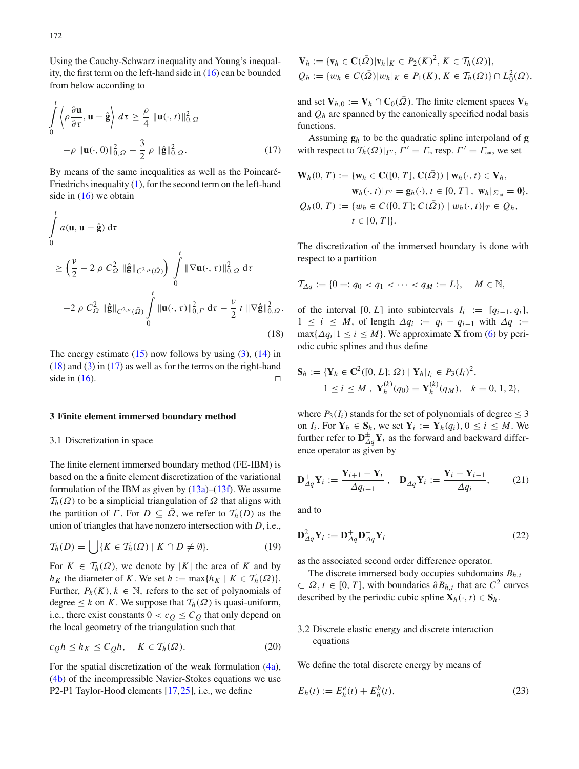Using the Cauchy-Schwarz inequality and Young's inequality, the first term on the left-hand side in [\(16\)](#page-4-2) can be bounded from below according to

<span id="page-5-2"></span>
$$
\int_{0}^{t} \left\langle \rho \frac{\partial \mathbf{u}}{\partial \tau}, \mathbf{u} - \hat{\mathbf{g}} \right\rangle d\tau \geq \frac{\rho}{4} \|\mathbf{u}(\cdot, t)\|_{0, \Omega}^{2}
$$

$$
-\rho \|\mathbf{u}(\cdot, 0)\|_{0, \Omega}^{2} - \frac{3}{2} \rho \|\hat{\mathbf{g}}\|_{0, \Omega}^{2}.
$$
 (17)

By means of the same inequalities as well as the Poincaré-Friedrichs inequality  $(1)$ , for the second term on the left-hand side in  $(16)$  we obtain

<span id="page-5-1"></span>
$$
\int_{0}^{t} a(\mathbf{u}, \mathbf{u} - \hat{\mathbf{g}}) d\tau
$$
\n
$$
\geq \left(\frac{v}{2} - 2 \rho C_{\Omega}^{2} \|\hat{\mathbf{g}}\|_{C^{2,\mu}(\bar{\Omega})}\right) \int_{0}^{t} \|\nabla \mathbf{u}(\cdot, \tau)\|_{0,\Omega}^{2} d\tau
$$
\n
$$
-2 \rho C_{\Omega}^{2} \|\hat{\mathbf{g}}\|_{C^{2,\mu}(\bar{\Omega})} \int_{0}^{t} \|\mathbf{u}(\cdot, \tau)\|_{0,\Gamma}^{2} d\tau - \frac{v}{2} t \|\nabla \hat{\mathbf{g}}\|_{0,\Omega}^{2}.
$$
\n(18)

The energy estimate  $(15)$  now follows by using  $(3)$ ,  $(14)$  in [\(18\)](#page-5-1) and [\(3\)](#page-3-5) in [\(17\)](#page-5-2) as well as for the terms on the right-hand side in  $(16)$ .

#### <span id="page-5-0"></span>**3 Finite element immersed boundary method**

## 3.1 Discretization in space

The finite element immersed boundary method (FE-IBM) is based on the a finite element discretization of the variational formulation of the IBM as given by  $(13a)$ – $(13f)$ . We assume  $T_h(\Omega)$  to be a simplicial triangulation of  $\Omega$  that aligns with the partition of *Γ*. For  $D \subseteq \overline{\Omega}$ , we refer to  $\mathcal{T}_h(D)$  as the union of triangles that have nonzero intersection with *D*, i.e.,

<span id="page-5-3"></span>
$$
\mathcal{T}_h(D) = \bigcup \{ K \in \mathcal{T}_h(\Omega) \mid K \cap D \neq \emptyset \}. \tag{19}
$$

For  $K \in \mathcal{T}_h(\Omega)$ , we denote by |K| the area of K and by *h*<sub>K</sub> the diameter of *K*. We set *h* := max{*h*<sub>K</sub> | *K*  $\in$  *T*<sub>*h*</sub>( $\Omega$ )}. Further,  $P_k(K)$ ,  $k \in \mathbb{N}$ , refers to the set of polynomials of degree  $\leq k$  on *K*. We suppose that  $\mathcal{T}_h(\Omega)$  is quasi-uniform, i.e., there exist constants  $0 < c<sub>Q</sub> \leq C<sub>Q</sub>$  that only depend on the local geometry of the triangulation such that

<span id="page-5-4"></span>
$$
c_{Q}h \le h_K \le C_{Q}h, \quad K \in \mathcal{T}_h(\Omega). \tag{20}
$$

For the spatial discretization of the weak formulation [\(4a\)](#page-3-3), [\(4b\)](#page-3-3) of the incompressible Navier-Stokes equations we use P2-P1 Taylor-Hood elements [\[17,](#page-12-36)[25\]](#page-12-37), i.e., we define

 $\mathbf{V}_h := {\mathbf{v}_h \in \mathbf{C}(\bar{\Omega}) |\mathbf{v}_h|_K \in P_2(K)^2, K \in \mathcal{T}_h(\Omega)},$  $Q_h := \{w_h \in C(\bar{\Omega}) |w_h|_K \in P_1(K), K \in T_h(\Omega) \} \cap L_0^2(\Omega),$ 

and set  $V_{h,0} := V_h \cap C_0(\overline{\Omega})$ . The finite element spaces  $V_h$ and  $Q_h$  are spanned by the canonically specified nodal basis functions.

Assuming  $\mathbf{g}_h$  to be the quadratic spline interpoland of **g** with respect to  $T_h(\Omega)|_{\Gamma'}, \Gamma' = \Gamma_{\text{in}}$  resp.  $\Gamma' = \Gamma_{\text{out}}$ , we set

$$
\mathbf{W}_h(0, T) := \{ \mathbf{w}_h \in \mathbf{C}([0, T], \mathbf{C}(\bar{\Omega})) \mid \mathbf{w}_h(\cdot, t) \in \mathbf{V}_h, \\ \mathbf{w}_h(\cdot, t)|_{\Gamma'} = \mathbf{g}_h(\cdot), t \in [0, T], \mathbf{w}_h|_{\Sigma_{\text{lat}}} = \mathbf{0} \}, \\ Q_h(0, T) := \{ w_h \in C([0, T]; C(\bar{\Omega})) \mid w_h(\cdot, t)|_T \in Q_h, \\ t \in [0, T] \}.
$$

The discretization of the immersed boundary is done with respect to a partition

$$
\mathcal{T}_{\Delta q} := \{0 =: q_0 < q_1 < \cdots < q_M := L\}, \quad M \in \mathbb{N},
$$

of the interval [0, *L*] into subintervals  $I_i := [q_{i-1}, q_i]$ ,  $1 \leq i \leq M$ , of length  $\Delta q_i := q_i - q_{i-1}$  with  $\Delta q :=$  $\max\{\Delta q_i | 1 \le i \le M\}$ . We approximate **X** from [\(6\)](#page-3-2) by periodic cubic splines and thus define

$$
\mathbf{S}_h := \{ \mathbf{Y}_h \in \mathbf{C}^2([0, L]; \Omega) \mid \mathbf{Y}_h|_{I_i} \in P_3(I_i)^2, 1 \le i \le M, \ \mathbf{Y}_h^{(k)}(q_0) = \mathbf{Y}_h^{(k)}(q_M), \quad k = 0, 1, 2 \},
$$

where  $P_3(I_i)$  stands for the set of polynomials of degree  $\leq 3$ on  $I_i$ . For  $Y_h \in S_h$ , we set  $Y_i := Y_h(q_i)$ ,  $0 \le i \le M$ . We further refer to  $\mathbf{D}_{\Delta q}^{\pm} \mathbf{Y}_i$  as the forward and backward difference operator as given by

$$
\mathbf{D}_{\Delta q}^+ \mathbf{Y}_i := \frac{\mathbf{Y}_{i+1} - \mathbf{Y}_i}{\Delta q_{i+1}}, \quad \mathbf{D}_{\Delta q}^- \mathbf{Y}_i := \frac{\mathbf{Y}_i - \mathbf{Y}_{i-1}}{\Delta q_i}, \tag{21}
$$

and to

$$
\mathbf{D}_{\Delta q}^2 \mathbf{Y}_i := \mathbf{D}_{\Delta q}^+ \mathbf{D}_{\Delta q}^- \mathbf{Y}_i
$$
 (22)

as the associated second order difference operator.

The discrete immersed body occupies subdomains  $B_{h,t}$  $\subset$  Ω, *t* ∈ [0, *T*], with boundaries  $\partial B_{h,t}$  that are  $C^2$  curves described by the periodic cubic spline  $\mathbf{X}_h(\cdot, t) \in \mathbf{S}_h$ .

## 3.2 Discrete elastic energy and discrete interaction equations

We define the total discrete energy by means of

$$
E_h(t) := E_h^e(t) + E_h^b(t),
$$
\n(23)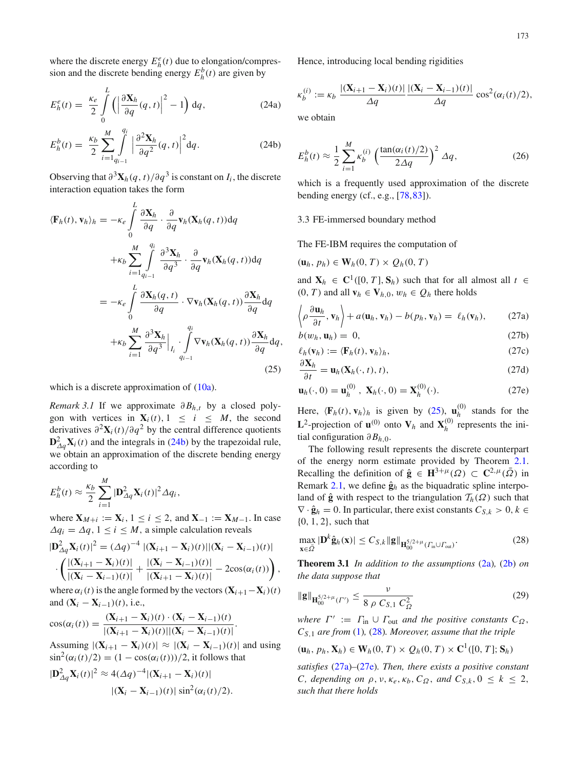where the discrete energy  $E_h^e(t)$  due to elongation/compression and the discrete bending energy  $E_h^b(t)$  are given by

<span id="page-6-0"></span>
$$
E_h^e(t) = \frac{\kappa_e}{2} \int\limits_0^L \left( \left| \frac{\partial \mathbf{X}_h}{\partial q}(q, t) \right|^2 - 1 \right) \mathrm{d}q, \tag{24a}
$$

$$
E_h^b(t) = \frac{\kappa_b}{2} \sum_{i=1}^M \int_{q_{i-1}}^{q_i} \left| \frac{\partial^2 \mathbf{X}_h}{\partial q^2}(q, t) \right|^2 dq.
$$
 (24b)

Observing that  $\partial^3 \mathbf{X}_h(q, t) / \partial q^3$  is constant on  $I_i$ , the discrete interaction equation takes the form

<span id="page-6-1"></span>
$$
\langle \mathbf{F}_h(t), \mathbf{v}_h \rangle_h = -\kappa_e \int_0^L \frac{\partial \mathbf{X}_h}{\partial q} \cdot \frac{\partial}{\partial q} \mathbf{v}_h(\mathbf{X}_h(q, t)) dq
$$
  
+ $\kappa_b \sum_{i=1}^M \int_{q_{i-1}}^{q_i} \frac{\partial^3 \mathbf{X}_h}{\partial q^3} \cdot \frac{\partial}{\partial q} \mathbf{v}_h(\mathbf{X}_h(q, t)) dq$   
= $-\kappa_e \int_0^L \frac{\partial \mathbf{X}_h(q, t)}{\partial q} \cdot \nabla \mathbf{v}_h(\mathbf{X}_h(q, t)) \frac{\partial \mathbf{X}_h}{\partial q} dq$   
+ $\kappa_b \sum_{i=1}^M \frac{\partial^3 \mathbf{X}_h}{\partial q^3} \Big|_{I_i} \cdot \int_{q_{i-1}}^{q_i} \nabla \mathbf{v}_h(\mathbf{X}_h(q, t)) \frac{\partial \mathbf{X}_h}{\partial q} dq,$   
(25)

which is a discrete approximation of  $(10a)$ .

*Remark* 3.1 If we approximate  $\partial B_{h,t}$  by a closed polygon with vertices in  $\mathbf{X}_i(t)$ ,  $1 \leq i \leq M$ , the second derivatives  $\partial^2 \mathbf{X}_i(t)/\partial q^2$  by the central difference quotients  $D_{\Delta q}^2$ **X***i*(*t*) and the integrals in [\(24b\)](#page-6-0) by the trapezoidal rule, we obtain an approximation of the discrete bending energy according to

$$
E_h^b(t) \approx \frac{\kappa_b}{2} \sum_{i=1}^M |\mathbf{D}_{\Delta q}^2 \mathbf{X}_i(t)|^2 \Delta q_i,
$$

where  $X_{M+i} := X_i$ ,  $1 \le i \le 2$ , and  $X_{-1} := X_{M-1}$ . In case  $\Delta q_i = \Delta q, 1 \leq i \leq M$ , a simple calculation reveals

$$
|\mathbf{D}_{\Delta q}^2 \mathbf{X}_i(t)|^2 = (\Delta q)^{-4} |(\mathbf{X}_{i+1} - \mathbf{X}_i)(t)| |(\mathbf{X}_i - \mathbf{X}_{i-1})(t)|
$$
  
 
$$
\cdot \left( \frac{|(\mathbf{X}_{i+1} - \mathbf{X}_i)(t)|}{|(\mathbf{X}_i - \mathbf{X}_{i-1})(t)|} + \frac{|(\mathbf{X}_i - \mathbf{X}_{i-1})(t)|}{|(\mathbf{X}_{i+1} - \mathbf{X}_i)(t)|} - 2\cos(\alpha_i(t)) \right),
$$

where  $\alpha_i(t)$  is the angle formed by the vectors  $(\mathbf{X}_{i+1}-\mathbf{X}_i)(t)$ and  $(X_i - X_{i-1})(t)$ , i.e.,

$$
\cos(\alpha_i(t)) = \frac{(\mathbf{X}_{i+1} - \mathbf{X}_i)(t) \cdot (\mathbf{X}_i - \mathbf{X}_{i-1})(t)}{|(\mathbf{X}_{i+1} - \mathbf{X}_i)(t)||(\mathbf{X}_i - \mathbf{X}_{i-1})(t)|}.
$$

Assuming  $|(\mathbf{X}_{i+1} - \mathbf{X}_i)(t)| \approx |(\mathbf{X}_i - \mathbf{X}_{i-1})(t)|$  and using  $\sin^2(\alpha_i(t)/2) = (1 - \cos(\alpha_i(t)))/2$ , it follows that

$$
|\mathbf{D}_{\Delta q}^2 \mathbf{X}_i(t)|^2 \approx 4(\Delta q)^{-4} |(\mathbf{X}_{i+1} - \mathbf{X}_i)(t)|
$$

$$
|(\mathbf{X}_i - \mathbf{X}_{i-1})(t)| \sin^2(\alpha_i(t)/2).
$$

Hence, introducing local bending rigidities

$$
\kappa_b^{(i)} := \kappa_b \, \frac{|(\mathbf{X}_{i+1} - \mathbf{X}_i)(t)|}{\Delta q} \, \frac{|(\mathbf{X}_i - \mathbf{X}_{i-1})(t)|}{\Delta q} \, \cos^2(\alpha_i(t)/2),
$$

we obtain

$$
E_h^b(t) \approx \frac{1}{2} \sum_{i=1}^M \kappa_b^{(i)} \left(\frac{\tan(\alpha_i(t)/2)}{2\Delta q}\right)^2 \Delta q,\tag{26}
$$

which is a frequently used approximation of the discrete bending energy (cf., e.g., [\[78](#page-13-30),[83\]](#page-13-39)).

#### 3.3 FE-immersed boundary method

The FE-IBM requires the computation of

$$
(\mathbf{u}_h, p_h) \in \mathbf{W}_h(0, T) \times Q_h(0, T)
$$

and  $\mathbf{X}_h \in \mathbb{C}^1([0, T], \mathbf{S}_h)$  such that for all almost all  $t \in$  $(0, T)$  and all  $\mathbf{v}_h \in \mathbf{V}_{h,0}$ ,  $w_h \in Q_h$  there holds

<span id="page-6-3"></span>
$$
\left\langle \rho \frac{\partial \mathbf{u}_h}{\partial t}, \mathbf{v}_h \right\rangle + a(\mathbf{u}_h, \mathbf{v}_h) - b(p_h, \mathbf{v}_h) = \ell_h(\mathbf{v}_h), \qquad (27a)
$$

$$
b(w_h, \mathbf{u}_h) = 0,\tag{27b}
$$

$$
\ell_h(\mathbf{v}_h) := \langle \mathbf{F}_h(t), \mathbf{v}_h \rangle_h,
$$
  
\n
$$
\frac{\partial \mathbf{X}_h}{\partial t} = \langle \mathbf{X}_h(t), \mathbf{Y}_h(t), \cdot \rangle_h,
$$
\n(27d)

$$
\frac{\partial \mathbf{x}_h}{\partial t} = \mathbf{u}_h(\mathbf{X}_h(\cdot, t), t), \tag{27d}
$$

$$
\mathbf{u}_h(\cdot,0) = \mathbf{u}_h^{(0)}, \ \mathbf{X}_h(\cdot,0) = \mathbf{X}_h^{(0)}(\cdot). \tag{27e}
$$

Here,  $\langle \mathbf{F}_h(t), \mathbf{v}_h \rangle_h$  is given by [\(25\)](#page-6-1),  $\mathbf{u}_h^{(0)}$  $h_h^{(0)}$  stands for the **L**<sup>2</sup>-projection of **u**<sup>(0)</sup> onto **V**<sub>*h*</sub> and **X**<sub>*h*</sub><sup>(0)</sup>  $h_h^{(0)}$  represents the initial configuration  $\partial B_{h,0}$ .

The following result represents the discrete counterpart of the energy norm estimate provided by Theorem [2.1.](#page-4-5) Recalling the definition of  $\hat{\mathbf{g}} \in \mathbf{H}^{3+\mu}(\Omega) \subset \mathbf{C}^{2,\mu}(\bar{\Omega})$  in Remark [2.1,](#page-2-2) we define  $\hat{\mathbf{g}}_h$  as the biquadratic spline interpoland of  $\hat{\mathbf{g}}$  with respect to the triangulation  $\mathcal{T}_h(\Omega)$  such that  $\nabla \cdot \hat{\mathbf{g}}_h = 0$ . In particular, there exist constants  $C_{S,k} > 0, k \in$ {0, 1, 2}, such that

<span id="page-6-2"></span>
$$
\max_{\mathbf{x}\in\bar{\Omega}}|\mathbf{D}^k\hat{\mathbf{g}}_h(\mathbf{x})|\leq C_{S,k}\|\mathbf{g}\|_{\mathbf{H}_{00}^{5/2+\mu}(\Gamma_{\text{in}}\cup\Gamma_{\text{out}})}.\tag{28}
$$

<span id="page-6-4"></span>**Theorem 3.1** *In addition to the assumptions* [\(2a\)](#page-2-0)*,* [\(2b\)](#page-2-0) *on the data suppose that*

$$
\|\mathbf{g}\|_{\mathbf{H}_{00}^{5/2+\mu}(\Gamma')} \le \frac{\nu}{8 \; \rho \; C_{S,1} \; C_{\Omega}^2} \tag{29}
$$

*where*  $\Gamma' := \Gamma_{\text{in}} \cup \Gamma_{\text{out}}$  *and the positive constants*  $C_{\Omega}$ , *CS*,<sup>1</sup> *are from* [\(1\)](#page-2-1)*,* [\(28\)](#page-6-2)*. Moreover, assume that the triple*

$$
(\mathbf{u}_h, p_h, \mathbf{X}_h) \in \mathbf{W}_h(0, T) \times Q_h(0, T) \times \mathbf{C}^1([0, T]; \mathbf{S}_h)
$$

*satisfies* [\(27a\)](#page-6-3)*–*[\(27e\)](#page-6-3)*. Then, there exists a positive constant C*, *depending on*  $\rho$ ,  $\nu$ ,  $\kappa_e$ ,  $\kappa_b$ ,  $C_{\Omega}$ , and  $C_{S,k}$ ,  $0 \le k \le 2$ , *such that there holds*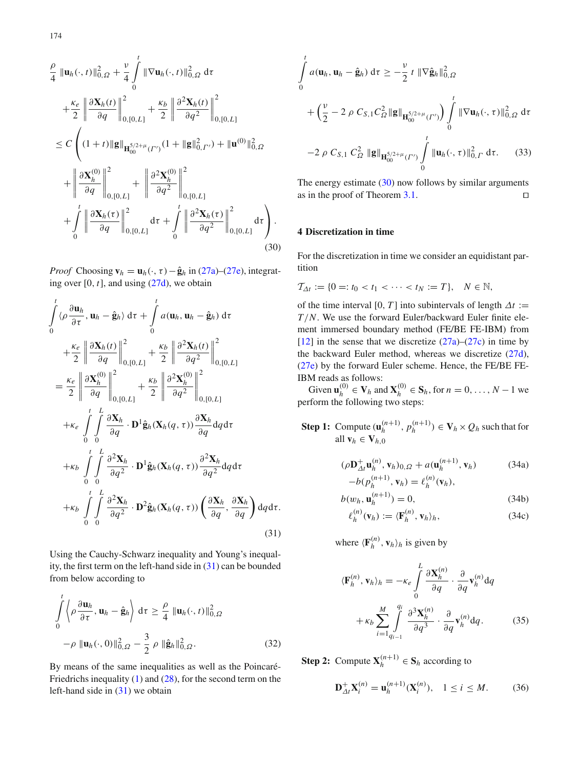<span id="page-7-2"></span>
$$
\frac{\rho}{4} \|\mathbf{u}_{h}(\cdot,t)\|_{0,\Omega}^{2} + \frac{\nu}{4} \int_{0}^{t} \|\nabla \mathbf{u}_{h}(\cdot,t)\|_{0,\Omega}^{2} d\tau \n+ \frac{\kappa_{e}}{2} \left\| \frac{\partial \mathbf{X}_{h}(t)}{\partial q} \right\|_{0,[0,L]}^{2} + \frac{\kappa_{b}}{2} \left\| \frac{\partial^{2} \mathbf{X}_{h}(t)}{\partial q^{2}} \right\|_{0,[0,L]}^{2} \n\leq C \left( (1+t) \|\mathbf{g}\|_{\mathbf{H}_{00}^{5/2+\mu}(\Gamma')} (1 + \|\mathbf{g}\|_{0,\Gamma'}^{2}) + \|\mathbf{u}^{(0)}\|_{0,\Omega}^{2} \n+ \left\| \frac{\partial \mathbf{X}_{h}^{(0)}}{\partial q} \right\|_{0,[0,L]}^{2} + \left\| \frac{\partial^{2} \mathbf{X}_{h}^{(0)}}{\partial q^{2}} \right\|_{0,[0,L]}^{2} \n+ \int_{0}^{t} \left\| \frac{\partial \mathbf{X}_{h}(\tau)}{\partial q} \right\|_{0,[0,L]}^{2} d\tau + \int_{0}^{t} \left\| \frac{\partial^{2} \mathbf{X}_{h}(\tau)}{\partial q^{2}} \right\|_{0,[0,L]}^{2} d\tau \right). \tag{30}
$$

*Proof* Choosing  $\mathbf{v}_h = \mathbf{u}_h(\cdot, \tau) - \hat{\mathbf{g}}_h$  in [\(27a\)](#page-6-3)–[\(27e\)](#page-6-3), integrating over  $[0, t]$ , and using  $(27d)$ , we obtain

<span id="page-7-1"></span>
$$
\int_{0}^{t} \langle \rho \frac{\partial \mathbf{u}_{h}}{\partial \tau}, \mathbf{u}_{h} - \hat{\mathbf{g}}_{h} \rangle d\tau + \int_{0}^{t} a(\mathbf{u}_{h}, \mathbf{u}_{h} - \hat{\mathbf{g}}_{h}) d\tau \n+ \frac{\kappa_{e}}{2} \left\| \frac{\partial \mathbf{X}_{h}(t)}{\partial q} \right\|_{0, [0, L]}^{2} + \frac{\kappa_{b}}{2} \left\| \frac{\partial^{2} \mathbf{X}_{h}(t)}{\partial q^{2}} \right\|_{0, [0, L]}^{2} \n= \frac{\kappa_{e}}{2} \left\| \frac{\partial \mathbf{X}_{h}^{(0)}}{\partial q} \right\|_{0, [0, L]}^{2} + \frac{\kappa_{b}}{2} \left\| \frac{\partial^{2} \mathbf{X}_{h}^{(0)}}{\partial q^{2}} \right\|_{0, [0, L]}^{2} \n+ \kappa_{e} \int_{0}^{t} \int_{0}^{L} \frac{\partial \mathbf{X}_{h}}{\partial q} \cdot \mathbf{D}^{1} \hat{\mathbf{g}}_{h}(\mathbf{X}_{h}(q, \tau)) \frac{\partial \mathbf{X}_{h}}{\partial q} dq d\tau \n+ \kappa_{b} \int_{0}^{t} \int_{0}^{L} \frac{\partial^{2} \mathbf{X}_{h}}{\partial q^{2}} \cdot \mathbf{D}^{1} \hat{\mathbf{g}}_{h}(\mathbf{X}_{h}(q, \tau)) \frac{\partial^{2} \mathbf{X}_{h}}{\partial q^{2}} dq d\tau \n+ \kappa_{b} \int_{0}^{t} \int_{0}^{L} \frac{\partial^{2} \mathbf{X}_{h}}{\partial q^{2}} \cdot \mathbf{D}^{2} \hat{\mathbf{g}}_{h}(\mathbf{X}_{h}(q, \tau)) \left( \frac{\partial \mathbf{X}_{h}}{\partial q}, \frac{\partial \mathbf{X}_{h}}{\partial q} \right) dq d\tau \n+ \kappa_{b} \int_{0}^{t} \int_{0}^{L} \frac{\partial^{2} \mathbf{X}_{h}}{\partial q^{2}} \cdot \mathbf{D}^{2} \hat{\mathbf{g}}_{h}(\mathbf{X}_{h}(q, \tau)) \left( \frac{\partial \mathbf{X}_{h}}{\partial q}, \frac{\partial \mathbf{X}_{h}}{\partial
$$

Using the Cauchy-Schwarz inequality and Young's inequality, the first term on the left-hand side in [\(31\)](#page-7-1) can be bounded from below according to

$$
\int_{0}^{t} \left\langle \rho \frac{\partial \mathbf{u}_h}{\partial \tau}, \mathbf{u}_h - \hat{\mathbf{g}}_h \right\rangle d\tau \ge \frac{\rho}{4} ||\mathbf{u}_h(\cdot, t)||_{0,\Omega}^2
$$

$$
-\rho ||\mathbf{u}_h(\cdot, 0)||_{0,\Omega}^2 - \frac{3}{2} \rho ||\hat{\mathbf{g}}_h||_{0,\Omega}^2.
$$
(32)

By means of the same inequalities as well as the Poincaré-Friedrichs inequality [\(1\)](#page-2-1) and [\(28\)](#page-6-2), for the second term on the left-hand side in [\(31\)](#page-7-1) we obtain

$$
\int_{0}^{t} a(\mathbf{u}_{h}, \mathbf{u}_{h} - \hat{\mathbf{g}}_{h}) d\tau \geq -\frac{\nu}{2} t \|\nabla \hat{\mathbf{g}}_{h}\|_{0,\Omega}^{2}
$$
\n
$$
+ \left(\frac{\nu}{2} - 2 \rho C_{S,1} C_{\Omega}^{2} \|\mathbf{g}\|_{\mathbf{H}_{00}^{5/2+\mu}(\Gamma')} \right) \int_{0}^{t} \|\nabla \mathbf{u}_{h}(\cdot, \tau)\|_{0,\Omega}^{2} d\tau
$$
\n
$$
-2 \rho C_{S,1} C_{\Omega}^{2} \|\mathbf{g}\|_{\mathbf{H}_{00}^{5/2+\mu}(\Gamma')} \int_{0}^{t} \|\mathbf{u}_{h}(\cdot, \tau)\|_{0,\Gamma}^{2} d\tau. \tag{33}
$$

The energy estimate  $(30)$  now follows by similar arguments as in the proof of Theorem [3.1.](#page-6-4)  $\square$ 

## <span id="page-7-0"></span>**4 Discretization in time**

For the discretization in time we consider an equidistant partition

$$
\mathcal{T}_{\Delta t} := \{0 =: t_0 < t_1 < \cdots < t_N := T\}, \quad N \in \mathbb{N},
$$

of the time interval [0, *T*] into subintervals of length  $\Delta t$  := *T*/*N*. We use the forward Euler/backward Euler finite element immersed boundary method (FE/BE FE-IBM) from [\[12](#page-12-1)] in the sense that we discretize  $(27a)-(27c)$  $(27a)-(27c)$  $(27a)-(27c)$  in time by the backward Euler method, whereas we discretize [\(27d\)](#page-6-3), [\(27e\)](#page-6-3) by the forward Euler scheme. Hence, the FE/BE FE-IBM reads as follows:

Given  $\mathbf{u}_h^{(0)}$  $\mathbf{V}_h$ <sup>(0)</sup> ∈  $\mathbf{V}_h$  and  $\mathbf{X}_h^{(0)}$  $S_h^{(0)} \in S_h$ , for  $n = 0, ..., N-1$  we perform the following two steps:

<span id="page-7-3"></span>**Step 1:** Compute  $(\mathbf{u}_h^{(n+1)})$  $p_h^{(n+1)}, p_h^{(n+1)}$  $\mathbf{V}_h^{(n+1)}$ )  $\in \mathbf{V}_h \times Q_h$  such that for all  $\mathbf{v}_h \in \mathbf{V}_{h,0}$ 

$$
(\rho \mathbf{D}_{\Delta t}^{+} \mathbf{u}_{h}^{(n)}, \mathbf{v}_{h})_{0,\Omega} + a(\mathbf{u}_{h}^{(n+1)}, \mathbf{v}_{h})
$$
\n
$$
-b(p_{h}^{(n+1)}, \mathbf{v}_{h}) = \ell_{h}^{(n)}(\mathbf{v}_{h}),
$$
\n(34a)

$$
b(w_h, \mathbf{u}_h^{(n+1)}) = 0,\t(34b)
$$

$$
\ell_h^{(n)}(\mathbf{v}_h) := \langle \mathbf{F}_h^{(n)}, \mathbf{v}_h \rangle_h, \tag{34c}
$$

where  $\langle \mathbf{F}_h^{(n)} \rangle$  $\binom{n}{h}$ ,  $\mathbf{v}_h$ <sub>*h*</sub> is given by

<span id="page-7-4"></span>
$$
\langle \mathbf{F}_h^{(n)}, \mathbf{v}_h \rangle_h = -\kappa_e \int_0^L \frac{\partial \mathbf{X}_h^{(n)}}{\partial q} \cdot \frac{\partial}{\partial q} \mathbf{v}_h^{(n)} dq
$$

$$
+\kappa_b \sum_{i=1}^M \int_{q_{i-1}}^{q_i} \frac{\partial^3 \mathbf{X}_h^{(n)}}{\partial q^3} \cdot \frac{\partial}{\partial q} \mathbf{v}_h^{(n)} dq. \tag{35}
$$

<span id="page-7-5"></span>**Step 2:** Compute  $\mathbf{X}_h^{(n+1)}$  $\binom{n+1}{h} \in \mathbf{S}_h$  according to

$$
\mathbf{D}_{\Delta t}^{+} \mathbf{X}_{i}^{(n)} = \mathbf{u}_{h}^{(n+1)} (\mathbf{X}_{i}^{(n)}), \quad 1 \le i \le M. \tag{36}
$$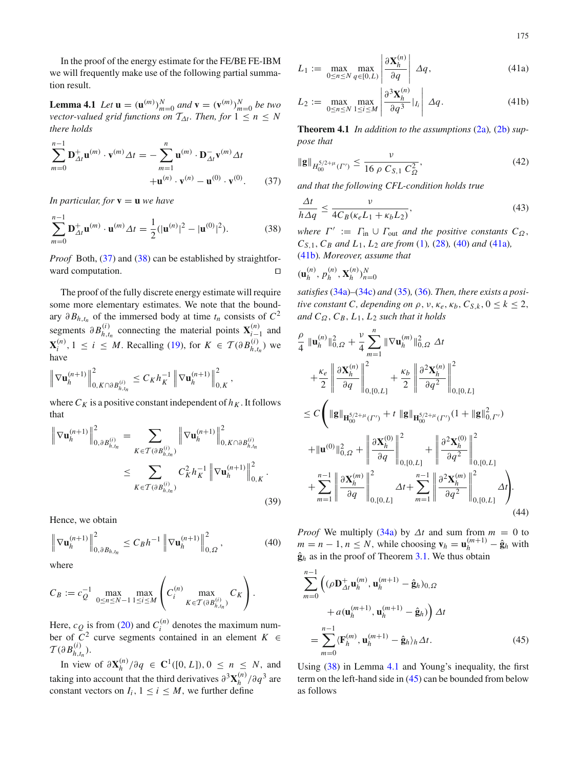175

In the proof of the energy estimate for the FE/BE FE-IBM we will frequently make use of the following partial summation result.

<span id="page-8-4"></span>**Lemma 4.1** *Let*  $\mathbf{u} = (\mathbf{u}^{(m)})_{m=0}^N$  *and*  $\mathbf{v} = (\mathbf{v}^{(m)})_{m=0}^N$  *be two vector-valued grid functions on*  $T_{\Delta t}$ *. Then, for*  $1 \leq n \leq N$ *there holds*

<span id="page-8-0"></span>
$$
\sum_{m=0}^{n-1} \mathbf{D}_{\Delta t}^+ \mathbf{u}^{(m)} \cdot \mathbf{v}^{(m)} \Delta t = -\sum_{m=1}^n \mathbf{u}^{(m)} \cdot \mathbf{D}_{\Delta t}^- \mathbf{v}^{(m)} \Delta t
$$

$$
+ \mathbf{u}^{(n)} \cdot \mathbf{v}^{(n)} - \mathbf{u}^{(0)} \cdot \mathbf{v}^{(0)}.
$$
 (37)

*In particular, for*  $\mathbf{v} = \mathbf{u}$  *we have* 

<span id="page-8-1"></span>
$$
\sum_{m=0}^{n-1} \mathbf{D}_{\Delta t}^+ \mathbf{u}^{(m)} \cdot \mathbf{u}^{(m)} \Delta t = \frac{1}{2} (|\mathbf{u}^{(n)}|^2 - |\mathbf{u}^{(0)}|^2).
$$
 (38)

*Proof* Both, [\(37\)](#page-8-0) and [\(38\)](#page-8-1) can be established by straightforward computation.

The proof of the fully discrete energy estimate will require some more elementary estimates. We note that the boundary  $\partial B_{h,t_n}$  of the immersed body at time  $t_n$  consists of  $C^2$ segments  $\partial B_{h,t}^{(i)}$  $h_{h,t_n}^{(i)}$  connecting the material points  $X_{i-1}^{(n)}$  and  $\mathbf{X}_i^{(n)}$  $i^{(n)}$ , 1 ≤ *i* ≤ *M*. Recalling [\(19\)](#page-5-3), for *K* ∈ *T*( $\partial B_{h,t}^{(i)}$ )  $\binom{u}{h,t_n}$  we have

$$
\left\| \nabla \mathbf{u}_h^{(n+1)} \right\|_{0,\, K\cap \partial B_{h,t_n}^{(i)}}^2 \le C_K h_K^{-1} \left\| \nabla \mathbf{u}_h^{(n+1)} \right\|_{0,\, K}^2,
$$

where  $C_K$  is a positive constant independent of  $h_K$ . It follows that

$$
\left\| \nabla \mathbf{u}_{h}^{(n+1)} \right\|_{0,\partial B_{h,t_n}^{(i)}}^2 = \sum_{K \in \mathcal{T}(\partial B_{h,t_n}^{(i)})} \left\| \nabla \mathbf{u}_h^{(n+1)} \right\|_{0,K \cap \partial B_{h,t_n}^{(i)}}^2
$$
  

$$
\leq \sum_{K \in \mathcal{T}(\partial B_{h,t_n}^{(i)})} C_K^2 h_K^{-1} \left\| \nabla \mathbf{u}_h^{(n+1)} \right\|_{0,K}^2.
$$
 (39)

Hence, we obtain

<span id="page-8-2"></span>
$$
\left\| \nabla \mathbf{u}_{h}^{(n+1)} \right\|_{0,\partial B_{h,t_n}}^2 \leq C_B h^{-1} \left\| \nabla \mathbf{u}_{h}^{(n+1)} \right\|_{0,\Omega}^2, \tag{40}
$$

where

$$
C_B := c_Q^{-1} \max_{0 \le n \le N-1} \max_{1 \le i \le M} \left( C_i^{(n)} \max_{K \in \mathcal{T}(\partial B_{h,t_n}^{(i)})} C_K \right).
$$

Here,  $c_Q$  is from [\(20\)](#page-5-4) and  $C_i^{(n)}$  $i^{(n)}$  denotes the maximum number of  $C^2$  curve segments contained in an element  $K \in$  $\mathcal{T}(\partial B^{(i)}_{h,t}$  $\binom{l}{h,t_n}$ .

In view of  $\partial$ **X**<sup>(*n*)</sup>)  $\int_{h}^{(n)}/\partial q$  ∈ **C**<sup>1</sup>([0, *L*]), 0 ≤ *n* ≤ *N*, and taking into account that the third derivatives  $\partial^3 \mathbf{X}_h^{(n)}$  $\binom{n}{h}$  /∂*q*<sup>3</sup> are constant vectors on  $I_i$ ,  $1 \le i \le M$ , we further define

<span id="page-8-3"></span>
$$
L_1 := \max_{0 \le n \le N} \max_{q \in [0, L)} \left| \frac{\partial \mathbf{X}_h^{(n)}}{\partial q} \right| \Delta q, \tag{41a}
$$

$$
L_2 := \max_{0 \le n \le N} \max_{1 \le i \le M} \left| \frac{\partial^3 \mathbf{X}_h^{(n)}}{\partial q^3} \big|_{I_i} \right| \Delta q. \tag{41b}
$$

**Theorem 4.1** *In addition to the assumptions* [\(2a\)](#page-2-0)*,* [\(2b\)](#page-2-0) *suppose that*

<span id="page-8-6"></span>
$$
\|\mathbf{g}\|_{H_{00}^{5/2+\mu}(\Gamma')} \le \frac{\nu}{16 \rho C_{S,1} C_{\Omega}^2},\tag{42}
$$

*and that the following CFL-condition holds true*

<span id="page-8-7"></span>
$$
\frac{\Delta t}{h\Delta q} \le \frac{v}{4C_B(\kappa_e L_1 + \kappa_b L_2)},\tag{43}
$$

*where*  $\Gamma' := \Gamma_{\text{in}} \cup \Gamma_{\text{out}}$  *and the positive constants*  $C_{\Omega}$ , *CS*,1,*C<sup>B</sup> and L*1, *L*<sup>2</sup> *are from* [\(1\)](#page-2-1)*,* [\(28\)](#page-6-2)*,* [\(40\)](#page-8-2) *and* [\(41a\)](#page-8-3)*,* [\(41b\)](#page-8-3)*. Moreover, assume that*

$$
(\mathbf{u}_h^{(n)}, p_h^{(n)}, \mathbf{X}_h^{(n)})_{n=0}^N
$$

*satisfies*[\(34a\)](#page-7-3)*–*[\(34c\)](#page-7-3) *and* [\(35\)](#page-7-4)*,* [\(36\)](#page-7-5)*. Then, there exists a positive constant C*, *depending on*  $\rho$ ,  $\nu$ ,  $\kappa_e$ ,  $\kappa_b$ ,  $C_{S,k}$ ,  $0 \le k \le 2$ , *and*  $C_{\Omega}$ ,  $C_{B}$ ,  $L_{1}$ ,  $L_{2}$  *such that it holds* 

$$
\frac{\rho}{4} \|\mathbf{u}_{h}^{(n)}\|_{0,\Omega}^{2} + \frac{\nu}{4} \sum_{m=1}^{n} \|\nabla \mathbf{u}_{h}^{(m)}\|_{0,\Omega}^{2} \Delta t \n+ \frac{\kappa_{e}}{2} \left\| \frac{\partial \mathbf{X}_{h}^{(n)}}{\partial q} \right\|_{0,[0,L]}^{2} + \frac{\kappa_{b}}{2} \left\| \frac{\partial^{2} \mathbf{X}_{h}^{(n)}}{\partial q^{2}} \right\|_{0,[0,L]}^{2} \n\leq C \left( \|\mathbf{g}\|_{\mathbf{H}_{00}^{5/2+\mu}(l^{r})} + t \|\mathbf{g}\|_{\mathbf{H}_{00}^{5/2+\mu}(l^{r})}(1 + \|\mathbf{g}\|_{0,l^{r})}^{2} \n+ \|\mathbf{u}^{(0)}\|_{0,\Omega}^{2} + \left\| \frac{\partial \mathbf{X}_{h}^{(0)}}{\partial q} \right\|_{0,[0,L]}^{2} + \left\| \frac{\partial^{2} \mathbf{X}_{h}^{(0)}}{\partial q^{2}} \right\|_{0,[0,L]}^{2} \n+ \sum_{m=1}^{n-1} \left\| \frac{\partial \mathbf{X}_{h}^{(m)}}{\partial q} \right\|_{0,[0,L]}^{2} \Delta t + \sum_{m=1}^{n-1} \left\| \frac{\partial^{2} \mathbf{X}_{h}^{(m)}}{\partial q^{2}} \right\|_{0,[0,L]}^{2} \Delta t \right). \tag{44}
$$

*Proof* We multiply [\(34a\)](#page-7-3) by  $\Delta t$  and sum from  $m = 0$  to  $m = n - 1, n \leq N$ , while choosing  $\mathbf{v}_h = \mathbf{u}_h^{(m+1)} - \hat{\mathbf{g}}_h$  with  $\hat{\mathbf{g}}_h$  as in the proof of Theorem [3.1.](#page-6-4) We thus obtain

<span id="page-8-5"></span>
$$
\sum_{m=0}^{n-1} \left( (\rho \mathbf{D}_{\Delta t}^+ \mathbf{u}_h^{(m)}, \mathbf{u}_h^{(m+1)} - \hat{\mathbf{g}}_h)_{0,\Omega} \right. \left. + a(\mathbf{u}_h^{(m+1)}, \mathbf{u}_h^{(m+1)} - \hat{\mathbf{g}}_h) \right) \Delta t \n= \sum_{m=0}^{n-1} \langle \mathbf{F}_h^{(m)}, \mathbf{u}_h^{(m+1)} - \hat{\mathbf{g}}_h \rangle_h \Delta t.
$$
\n(45)

Using [\(38\)](#page-8-1) in Lemma [4.1](#page-8-4) and Young's inequality, the first term on the left-hand side in [\(45\)](#page-8-5) can be bounded from below as follows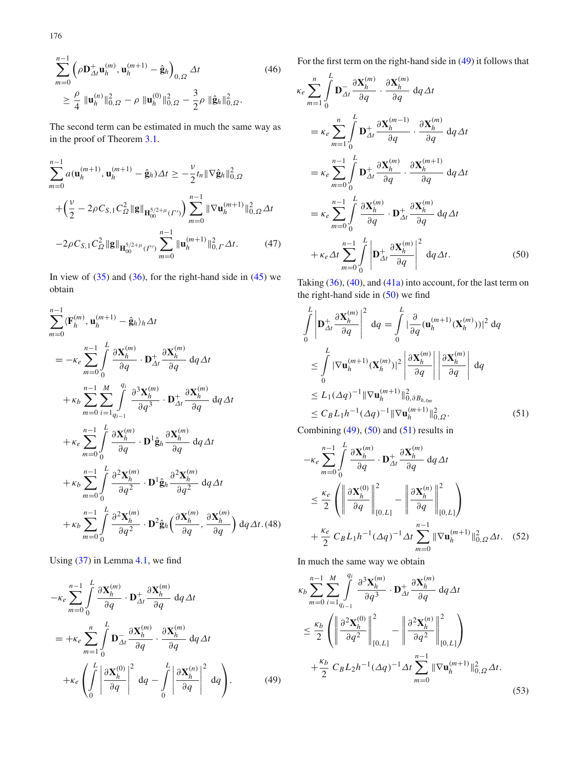$$
\sum_{m=0}^{n-1} \left( \rho \mathbf{D}_{\Delta t}^+ \mathbf{u}_h^{(m)}, \mathbf{u}_h^{(m+1)} - \hat{\mathbf{g}}_h \right)_{0,\Omega} \Delta t \tag{46}
$$
\n
$$
\geq \frac{\rho}{4} \|\mathbf{u}_h^{(n)}\|_{0,\Omega}^2 - \rho \|\mathbf{u}_h^{(0)}\|_{0,\Omega}^2 - \frac{3}{2}\rho \|\hat{\mathbf{g}}_h\|_{0,\Omega}^2.
$$

The second term can be estimated in much the same way as in the proof of Theorem [3.1.](#page-6-4)

<span id="page-9-3"></span>
$$
\sum_{m=0}^{n-1} a(\mathbf{u}_h^{(m+1)}, \mathbf{u}_h^{(m+1)} - \hat{\mathbf{g}}_h) \Delta t \ge -\frac{\nu}{2} t_n \|\nabla \hat{\mathbf{g}}_h\|_{0,\Omega}^2
$$

$$
+ \left(\frac{\nu}{2} - 2\rho C_{S,1} C_{\Omega}^2 \|\mathbf{g}\|_{\mathbf{H}_{00}^{5/2+\mu}(\Gamma')} \right) \sum_{m=0}^{n-1} \|\nabla \mathbf{u}_h^{(m+1)}\|_{0,\Omega}^2 \Delta t
$$

$$
-2\rho C_{S,1} C_{\Omega}^2 \|\mathbf{g}\|_{\mathbf{H}_{00}^{5/2+\mu}(\Gamma')} \sum_{m=0}^{n-1} \|\mathbf{u}_h^{(m+1)}\|_{0,\Gamma}^2 \Delta t. \tag{47}
$$

In view of  $(35)$  and  $(36)$ , for the right-hand side in  $(45)$  we obtain

<span id="page-9-6"></span>
$$
\sum_{m=0}^{n-1} \langle \mathbf{F}_{h}^{(m)}, \mathbf{u}_{h}^{(m+1)} - \hat{\mathbf{g}}_{h} \rangle_{h} \Delta t
$$
\n
$$
= -\kappa_{e} \sum_{m=0}^{n-1} \int_{0}^{L} \frac{\partial \mathbf{X}_{h}^{(m)}}{\partial q} \cdot \mathbf{D}_{\Delta t}^{+} \frac{\partial \mathbf{X}_{h}^{(m)}}{\partial q} dq \Delta t
$$
\n
$$
+ \kappa_{b} \sum_{m=0}^{n-1} \sum_{i=1}^{M} \int_{q_{i-1}}^{q_{i}} \frac{\partial^{3} \mathbf{X}_{h}^{(m)}}{\partial q^{3}} \cdot \mathbf{D}_{\Delta t}^{+} \frac{\partial \mathbf{X}_{h}^{(m)}}{\partial q} dq \Delta t
$$
\n
$$
+ \kappa_{e} \sum_{m=0}^{n-1} \int_{0}^{L} \frac{\partial \mathbf{X}_{h}^{(m)}}{\partial q} \cdot \mathbf{D}^{1} \hat{\mathbf{g}}_{h} \frac{\partial \mathbf{X}_{h}^{(m)}}{\partial q} dq \Delta t
$$
\n
$$
+ \kappa_{b} \sum_{m=0}^{n-1} \int_{0}^{L} \frac{\partial^{2} \mathbf{X}_{h}^{(m)}}{\partial q^{2}} \cdot \mathbf{D}^{1} \hat{\mathbf{g}}_{h} \frac{\partial^{2} \mathbf{X}_{h}^{(m)}}{\partial q^{2}} dq \Delta t
$$
\n
$$
+ \kappa_{b} \sum_{m=0}^{n-1} \int_{0}^{L} \frac{\partial^{2} \mathbf{X}_{h}^{(m)}}{\partial q^{2}} \cdot \mathbf{D}^{2} \hat{\mathbf{g}}_{h} \left( \frac{\partial \mathbf{X}_{h}^{(m)}}{\partial q}, \frac{\partial \mathbf{X}_{h}^{(m)}}{\partial q} \right) dq \Delta t. (48)
$$

Using [\(37\)](#page-8-0) in Lemma [4.1,](#page-8-4) we find

<span id="page-9-0"></span>
$$
-\kappa_e \sum_{m=0}^{n-1} \int_0^L \frac{\partial \mathbf{X}_h^{(m)}}{\partial q} \cdot \mathbf{D}_{\Delta t}^+ \frac{\partial \mathbf{X}_h^{(m)}}{\partial q} dq \Delta t
$$
  
=  $+\kappa_e \sum_{m=1}^n \int_0^L \mathbf{D}_{\Delta t}^- \frac{\partial \mathbf{X}_h^{(m)}}{\partial q} \cdot \frac{\partial \mathbf{X}_h^{(m)}}{\partial q} dq \Delta t$   
+  $\kappa_e \left( \int_0^L \left| \frac{\partial \mathbf{X}_h^{(0)}}{\partial q} \right|^2 dq - \int_0^L \left| \frac{\partial \mathbf{X}_h^{(n)}}{\partial q} \right|^2 dq \right).$  (49)

For the first term on the right-hand side in [\(49\)](#page-9-0) it follows that

*L*

<span id="page-9-1"></span>
$$
\kappa_e \sum_{m=1}^{n} \int_{0}^{L} \mathbf{D}_{\Delta t} \frac{\partial \mathbf{X}_h^{(m)}}{\partial q} \cdot \frac{\partial \mathbf{X}_h^{(m)}}{\partial q} dq \Delta t
$$
\n
$$
= \kappa_e \sum_{m=1}^{n} \int_{0}^{L} \mathbf{D}_{\Delta t}^+ \frac{\partial \mathbf{X}_h^{(m-1)}}{\partial q} \cdot \frac{\partial \mathbf{X}_h^{(m)}}{\partial q} dq \Delta t
$$
\n
$$
= \kappa_e \sum_{m=0}^{n-1} \int_{0}^{L} \mathbf{D}_{\Delta t}^+ \frac{\partial \mathbf{X}_h^{(m)}}{\partial q} \cdot \frac{\partial \mathbf{X}_h^{(m+1)}}{\partial q} dq \Delta t
$$
\n
$$
= \kappa_e \sum_{m=0}^{n-1} \int_{0}^{L} \frac{\partial \mathbf{X}_h^{(m)}}{\partial q} \cdot \mathbf{D}_{\Delta t}^+ \frac{\partial \mathbf{X}_h^{(m)}}{\partial q} dq \Delta t
$$
\n
$$
+ \kappa_e \Delta t \sum_{m=0}^{n-1} \int_{0}^{L} \left| \mathbf{D}_{\Delta t}^+ \frac{\partial \mathbf{X}_h^{(m)}}{\partial q} \right|^2 dq \Delta t.
$$
\n(50)

Taking [\(36\)](#page-7-5), [\(40\)](#page-8-2), and [\(41a\)](#page-8-3) into account, for the last term on the right-hand side in  $(50)$  we find

<span id="page-9-2"></span>
$$
\int_{0}^{L} \left| \mathbf{D}_{\Delta t}^{+} \frac{\partial \mathbf{X}_{h}^{(m)}}{\partial q} \right|^{2} dq = \int_{0}^{L} |\frac{\partial}{\partial q} (\mathbf{u}_{h}^{(m+1)}(\mathbf{X}_{h}^{(m)}))|^{2} dq
$$
\n
$$
\leq \int_{0}^{L} |\nabla \mathbf{u}_{h}^{(m+1)}(\mathbf{X}_{h}^{(m)})|^{2} \left| \frac{\partial \mathbf{X}_{h}^{(m)}}{\partial q} \right| \left| \frac{\partial \mathbf{X}_{h}^{(m)}}{\partial q} \right| dq
$$
\n
$$
\leq L_{1}(\Delta q)^{-1} \|\nabla \mathbf{u}_{h}^{(m+1)}\|_{0,\partial B_{h,t_{m}}}^{2}
$$
\n
$$
\leq C_{B} L_{1} h^{-1}(\Delta q)^{-1} \|\nabla \mathbf{u}_{h}^{(m+1)}\|_{0,\Omega}^{2}.
$$
\n(51)

<span id="page-9-4"></span>Combining  $(49)$ ,  $(50)$  and  $(51)$  results in

*L*

$$
-\kappa_e \sum_{m=0}^{n-1} \int_0^L \frac{\partial \mathbf{X}_h^{(m)}}{\partial q} \cdot \mathbf{D}_{\Delta t}^+ \frac{\partial \mathbf{X}_h^{(m)}}{\partial q} dq \Delta t
$$
  
\n
$$
\leq \frac{\kappa_e}{2} \left( \left\| \frac{\partial \mathbf{X}_h^{(0)}}{\partial q} \right\|_{[0,L]}^2 - \left\| \frac{\partial \mathbf{X}_h^{(n)}}{\partial q} \right\|_{[0,L]}^2 \right)
$$
  
\n
$$
+ \frac{\kappa_e}{2} C_B L_1 h^{-1} (\Delta q)^{-1} \Delta t \sum_{m=0}^{n-1} \|\nabla \mathbf{u}_h^{(m+1)}\|_{0,\Omega}^2 \Delta t. \quad (52)
$$

In much the same way we obtain

<span id="page-9-5"></span>
$$
\kappa_b \sum_{m=0}^{n-1} \sum_{i=1}^{M} \int_{\substack{q_i \\ \text{odd}}} \frac{\partial^3 \mathbf{X}_h^{(m)}}{\partial q^3} \cdot \mathbf{D}_{\Delta t}^+ \frac{\partial \mathbf{X}_h^{(m)}}{\partial q} dq \Delta t
$$
  

$$
\leq \frac{\kappa_b}{2} \left( \left\| \frac{\partial^2 \mathbf{X}_h^{(0)}}{\partial q^2} \right\|_{[0,L]}^2 - \left\| \frac{\partial^2 \mathbf{X}_h^{(n)}}{\partial q^2} \right\|_{[0,L]}^2 \right)
$$
  

$$
+ \frac{\kappa_b}{2} C_B L_2 h^{-1} (\Delta q)^{-1} \Delta t \sum_{m=0}^{n-1} \|\nabla \mathbf{u}_h^{(m+1)}\|_{0,\Omega}^2 \Delta t.
$$
 (53)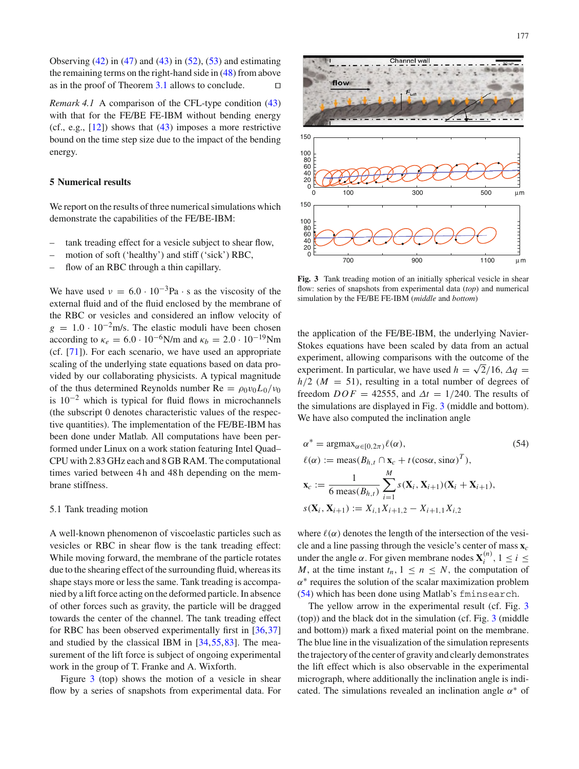Observing  $(42)$  in  $(47)$  and  $(43)$  in  $(52)$ ,  $(53)$  and estimating the remaining terms on the right-hand side in  $(48)$  from above as in the proof of Theorem [3.1](#page-6-4) allows to conclude.  $\Box$ 

*Remark 4.1* A comparison of the CFL-type condition [\(43\)](#page-8-7) with that for the FE/BE FE-IBM without bending energy (cf., e.g.,  $[12]$  $[12]$ ) shows that  $(43)$  imposes a more restrictive bound on the time step size due to the impact of the bending energy.

## <span id="page-10-0"></span>**5 Numerical results**

We report on the results of three numerical simulations which demonstrate the capabilities of the FE/BE-IBM:

- tank treading effect for a vesicle subject to shear flow,
- motion of soft ('healthy') and stiff ('sick') RBC,
- flow of an RBC through a thin capillary.

We have used  $v = 6.0 \cdot 10^{-3} Pa \cdot s$  as the viscosity of the external fluid and of the fluid enclosed by the membrane of the RBC or vesicles and considered an inflow velocity of  $g = 1.0 \cdot 10^{-2}$  m/s. The elastic moduli have been chosen according to  $\kappa_e = 6.0 \cdot 10^{-6} \text{N/m}$  and  $\kappa_b = 2.0 \cdot 10^{-19} \text{Nm}$ (cf. [\[71](#page-13-41)]). For each scenario, we have used an appropriate scaling of the underlying state equations based on data provided by our collaborating physicists. A typical magnitude of the thus determined Reynolds number  $Re = \rho_0 v_0 L_0 / v_0$ is  $10^{-2}$  which is typical for fluid flows in microchannels (the subscript 0 denotes characteristic values of the respective quantities). The implementation of the FE/BE-IBM has been done under Matlab. All computations have been performed under Linux on a work station featuring Intel Quad– CPU with 2.83GHz each and 8GBRAM. The computational times varied between 4h and 48h depending on the membrane stiffness.

## 5.1 Tank treading motion

A well-known phenomenon of viscoelastic particles such as vesicles or RBC in shear flow is the tank treading effect: While moving forward, the membrane of the particle rotates due to the shearing effect of the surrounding fluid, whereas its shape stays more or less the same. Tank treading is accompanied by a lift force acting on the deformed particle. In absence of other forces such as gravity, the particle will be dragged towards the center of the channel. The tank treading effect for RBC has been observed experimentally first in [\[36,](#page-12-38)[37\]](#page-12-7) and studied by the classical IBM in [\[34](#page-12-35),[55,](#page-13-38)[83\]](#page-13-39). The measurement of the lift force is subject of ongoing experimental work in the group of T. Franke and A. Wixforth.

Figure [3](#page-10-1) (top) shows the motion of a vesicle in shear flow by a series of snapshots from experimental data. For



<span id="page-10-1"></span>**Fig. 3** Tank treading motion of an initially spherical vesicle in shear flow: series of snapshots from experimental data (*top*) and numerical simulation by the FE/BE FE-IBM (*middle* and *bottom*)

the application of the FE/BE-IBM, the underlying Navier-Stokes equations have been scaled by data from an actual experiment, allowing comparisons with the outcome of the experiment. In particular, we have used  $h = \sqrt{2}/16$ ,  $\Delta q =$  $h/2$  ( $M = 51$ ), resulting in a total number of degrees of freedom  $DOF = 42555$ , and  $\Delta t = 1/240$ . The results of the simulations are displayed in Fig. [3](#page-10-1) (middle and bottom). We have also computed the inclination angle

<span id="page-10-2"></span>
$$
\alpha^* = \operatorname{argmax}_{\alpha \in [0, 2\pi)} \ell(\alpha),
$$
\n
$$
\ell(\alpha) := \operatorname{meas}(B_{h,t} \cap \mathbf{x}_c + t(\cos \alpha, \sin \alpha)^T),
$$
\n
$$
\mathbf{x}_c := \frac{1}{6 \operatorname{meas}(B_{h,t})} \sum_{i=1}^M s(\mathbf{X}_i, \mathbf{X}_{i+1})(\mathbf{X}_i + \mathbf{X}_{i+1}),
$$
\n
$$
s(\mathbf{X}_i, \mathbf{X}_{i+1}) := X_{i,1} X_{i+1,2} - X_{i+1,1} X_{i,2}
$$
\n(54)

where  $\ell(\alpha)$  denotes the length of the intersection of the vesicle and a line passing through the vesicle's center of mass **x***<sup>c</sup>* under the angle  $\alpha$ . For given membrane nodes  $\mathbf{X}_i^{(n)}$  $i^{(n)}$ , 1  $\leq i \leq$ *M*, at the time instant  $t_n$ ,  $1 \leq n \leq N$ , the computation of  $\alpha^*$  requires the solution of the scalar maximization problem [\(54\)](#page-10-2) which has been done using Matlab's fminsearch.

The yellow arrow in the experimental result (cf. Fig. [3](#page-10-1)) (top)) and the black dot in the simulation (cf. Fig. [3](#page-10-1) (middle and bottom)) mark a fixed material point on the membrane. The blue line in the visualization of the simulation represents the trajectory of the center of gravity and clearly demonstrates the lift effect which is also observable in the experimental micrograph, where additionally the inclination angle is indicated. The simulations revealed an inclination angle  $\alpha^*$  of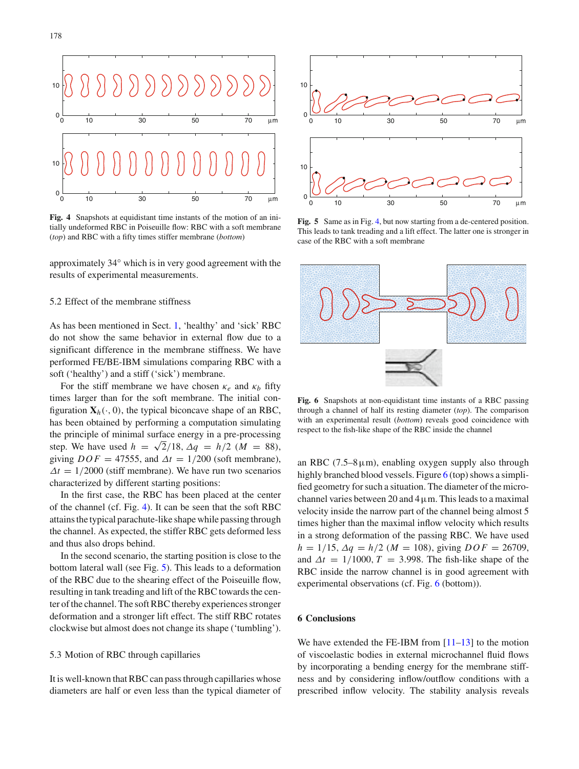

<span id="page-11-0"></span>**Fig. 4** Snapshots at equidistant time instants of the motion of an initially undeformed RBC in Poiseuille flow: RBC with a soft membrane (*top*) and RBC with a fifty times stiffer membrane (*bottom*)

approximately 34 ◦ which is in very good agreement with the results of experimental measurements.

## 5.2 Effect of the membrane stiffness

As has been mentioned in Sect. [1,](#page-0-0) 'healthy' and 'sick' RBC do not show the same behavior in external flow due to a significant difference in the membrane stiffness. We have performed FE/BE-IBM simulations comparing RBC with a soft ('healthy') and a stiff ('sick') membrane.

For the stiff membrane we have chosen  $\kappa_e$  and  $\kappa_b$  fifty times larger than for the soft membrane. The initial configuration  $X_h(\cdot, 0)$ , the typical biconcave shape of an RBC, has been obtained by performing a computation simulating the principle of minimal surface energy in a pre-processing step. We have used  $h = \sqrt{2}/18$ ,  $\Delta q = h/2$  ( $M = 88$ ), giving  $DOF = 47555$ , and  $\Delta t = 1/200$  (soft membrane),  $\Delta t = 1/2000$  (stiff membrane). We have run two scenarios characterized by different starting positions:

In the first case, the RBC has been placed at the center of the channel (cf. Fig. [4\)](#page-11-0). It can be seen that the soft RBC attains the typical parachute-like shape while passing through the channel. As expected, the stiffer RBC gets deformed less and thus also drops behind.

In the second scenario, the starting position is close to the bottom lateral wall (see Fig. [5\)](#page-11-1). This leads to a deformation of the RBC due to the shearing effect of the Poiseuille flow, resulting in tank treading and lift of the RBC towards the center of the channel. The soft RBC thereby experiences stronger deformation and a stronger lift effect. The stiff RBC rotates clockwise but almost does not change its shape ('tumbling').

## 5.3 Motion of RBC through capillaries

It is well-known that RBC can pass through capillaries whose diameters are half or even less than the typical diameter of



<span id="page-11-1"></span>**Fig. 5** Same as in Fig. [4,](#page-11-0) but now starting from a de-centered position. This leads to tank treading and a lift effect. The latter one is stronger in case of the RBC with a soft membrane



<span id="page-11-2"></span>**Fig. 6** Snapshots at non-equidistant time instants of a RBC passing through a channel of half its resting diameter (*top*). The comparison with an experimental result (*bottom*) reveals good coincidence with respect to the fish-like shape of the RBC inside the channel

an RBC (7.5–8 $\mu$ m), enabling oxygen supply also through highly branched blood vessels. Figure  $6$  (top) shows a simplified geometry for such a situation. The diameter of the microchannel varies between 20 and  $4 \mu$ m. This leads to a maximal velocity inside the narrow part of the channel being almost 5 times higher than the maximal inflow velocity which results in a strong deformation of the passing RBC. We have used  $h = 1/15$ ,  $\Delta q = h/2$  (*M* = 108), giving  $DOF = 26709$ , and  $\Delta t = 1/1000$ ,  $T = 3.998$ . The fish-like shape of the RBC inside the narrow channel is in good agreement with experimental observations (cf. Fig. [6](#page-11-2) (bottom)).

## **6 Conclusions**

We have extended the FE-IBM from  $[11-13]$  $[11-13]$  to the motion of viscoelastic bodies in external microchannel fluid flows by incorporating a bending energy for the membrane stiffness and by considering inflow/outflow conditions with a prescribed inflow velocity. The stability analysis reveals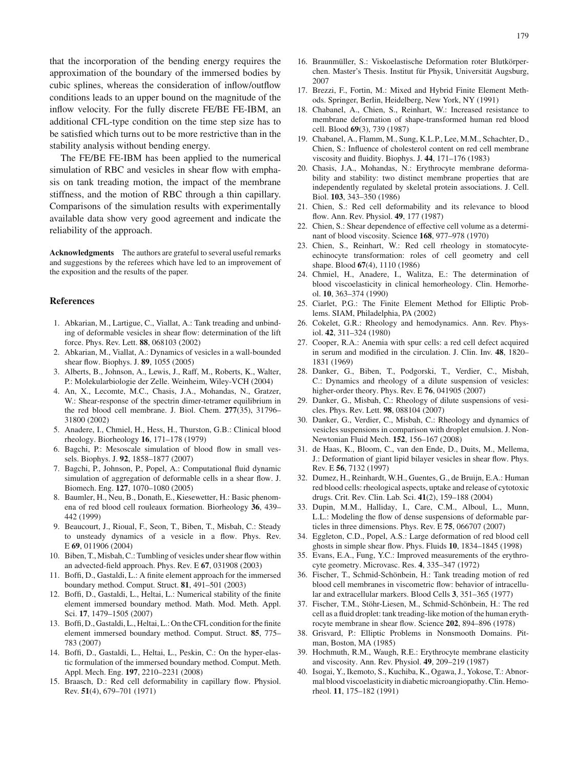that the incorporation of the bending energy requires the approximation of the boundary of the immersed bodies by cubic splines, whereas the consideration of inflow/outflow conditions leads to an upper bound on the magnitude of the inflow velocity. For the fully discrete FE/BE FE-IBM, an additional CFL-type condition on the time step size has to be satisfied which turns out to be more restrictive than in the stability analysis without bending energy.

The FE/BE FE-IBM has been applied to the numerical simulation of RBC and vesicles in shear flow with emphasis on tank treading motion, the impact of the membrane stiffness, and the motion of RBC through a thin capillary. Comparisons of the simulation results with experimentally available data show very good agreement and indicate the reliability of the approach.

**Acknowledgments** The authors are grateful to several useful remarks and suggestions by the referees which have led to an improvement of the exposition and the results of the paper.

### **References**

- <span id="page-12-22"></span>1. Abkarian, M., Lartigue, C., Viallat, A.: Tank treading and unbinding of deformable vesicles in shear flow: determination of the lift force. Phys. Rev. Lett. **88**, 068103 (2002)
- <span id="page-12-23"></span>2. Abkarian, M., Viallat, A.: Dynamics of vesicles in a wall-bounded shear flow. Biophys. J. **89**, 1055 (2005)
- <span id="page-12-19"></span>3. Alberts, B., Johnson, A., Lewis, J., Raff, M., Roberts, K., Walter, P.: Molekularbiologie der Zelle. Weinheim, Wiley-VCH (2004)
- <span id="page-12-20"></span>4. An, X., Lecomte, M.C., Chasis, J.A., Mohandas, N., Gratzer, W.: Shear-response of the spectrin dimer-tetramer equilibrium in the red blood cell membrane. J. Biol. Chem. **277**(35), 31796– 31800 (2002)
- <span id="page-12-15"></span>5. Anadere, I., Chmiel, H., Hess, H., Thurston, G.B.: Clinical blood rheology. Biorheology **16**, 171–178 (1979)
- <span id="page-12-32"></span>6. Bagchi, P.: Mesoscale simulation of blood flow in small vessels. Biophys. J. **92**, 1858–1877 (2007)
- <span id="page-12-33"></span>7. Bagchi, P., Johnson, P., Popel, A.: Computational fluid dynamic simulation of aggregation of deformable cells in a shear flow. J. Biomech. Eng. **127**, 1070–1080 (2005)
- <span id="page-12-24"></span>8. Baumler, H., Neu, B., Donath, E., Kiesewetter, H.: Basic phenomena of red blood cell rouleaux formation. Biorheology **36**, 439– 442 (1999)
- <span id="page-12-27"></span>9. Beaucourt, J., Rioual, F., Seon, T., Biben, T., Misbah, C.: Steady to unsteady dynamics of a vesicle in a flow. Phys. Rev. E **69**, 011906 (2004)
- <span id="page-12-28"></span>10. Biben, T., Misbah,C.: Tumbling of vesicles undershear flow within an advected-field approach. Phys. Rev. E **67**, 031908 (2003)
- <span id="page-12-0"></span>11. Boffi, D., Gastaldi, L.: A finite element approach for the immersed boundary method. Comput. Struct. **81**, 491–501 (2003)
- <span id="page-12-1"></span>12. Boffi, D., Gastaldi, L., Heltai, L.: Numerical stability of the finite element immersed boundary method. Math. Mod. Meth. Appl. Sci. **17**, 1479–1505 (2007)
- <span id="page-12-2"></span>13. Boffi, D., Gastaldi, L., Heltai, L.: On the CFL condition for the finite element immersed boundary method. Comput. Struct. **85**, 775– 783 (2007)
- <span id="page-12-31"></span>14. Boffi, D., Gastaldi, L., Heltai, L., Peskin, C.: On the hyper-elastic formulation of the immersed boundary method. Comput. Meth. Appl. Mech. Eng. **197**, 2210–2231 (2008)
- <span id="page-12-4"></span>15. Braasch, D.: Red cell deformability in capillary flow. Physiol. Rev. **51**(4), 679–701 (1971)
- <span id="page-12-18"></span>16. Braunmüller, S.: Viskoelastische Deformation roter Blutkörperchen. Master's Thesis. Institut für Physik, Universität Augsburg, 2007
- <span id="page-12-36"></span>17. Brezzi, F., Fortin, M.: Mixed and Hybrid Finite Element Methods. Springer, Berlin, Heidelberg, New York, NY (1991)
- <span id="page-12-13"></span>18. Chabanel, A., Chien, S., Reinhart, W.: Increased resistance to membrane deformation of shape-transformed human red blood cell. Blood **69**(3), 739 (1987)
- <span id="page-12-11"></span>19. Chabanel, A., Flamm, M., Sung, K.L.P., Lee, M.M., Schachter, D., Chien, S.: Influence of cholesterol content on red cell membrane viscosity and fluidity. Biophys. J. **44**, 171–176 (1983)
- <span id="page-12-8"></span>20. Chasis, J.A., Mohandas, N.: Erythrocyte membrane deformability and stability: two distinct membrane properties that are independently regulated by skeletal protein associations. J. Cell. Biol. **103**, 343–350 (1986)
- <span id="page-12-5"></span>21. Chien, S.: Red cell deformability and its relevance to blood flow. Ann. Rev. Physiol. **49**, 177 (1987)
- <span id="page-12-25"></span>22. Chien, S.: Shear dependence of effective cell volume as a determinant of blood viscosity. Science **168**, 977–978 (1970)
- <span id="page-12-6"></span>23. Chien, S., Reinhart, W.: Red cell rheology in stomatocyteechinocyte transformation: roles of cell geometry and cell shape. Blood **67**(4), 1110 (1986)
- <span id="page-12-16"></span>24. Chmiel, H., Anadere, I., Walitza, E.: The determination of blood viscoelasticity in clinical hemorheology. Clin. Hemorheol. **10**, 363–374 (1990)
- <span id="page-12-37"></span>25. Ciarlet, P.G.: The Finite Element Method for Elliptic Problems. SIAM, Philadelphia, PA (2002)
- <span id="page-12-3"></span>26. Cokelet, G.R.: Rheology and hemodynamics. Ann. Rev. Physiol. **42**, 311–324 (1980)
- <span id="page-12-12"></span>27. Cooper, R.A.: Anemia with spur cells: a red cell defect acquired in serum and modified in the circulation. J. Clin. Inv. **48**, 1820– 1831 (1969)
- <span id="page-12-29"></span>28. Danker, G., Biben, T., Podgorski, T., Verdier, C., Misbah, C.: Dynamics and rheology of a dilute suspension of vesicles: higher-order theory. Phys. Rev. E **76**, 041905 (2007)
- 29. Danker, G., Misbah, C.: Rheology of dilute suspensions of vesicles. Phys. Rev. Lett. **98**, 088104 (2007)
- <span id="page-12-21"></span>30. Danker, G., Verdier, C., Misbah, C.: Rheology and dynamics of vesicles suspensions in comparison with droplet emulsion. J. Non-Newtonian Fluid Mech. **152**, 156–167 (2008)
- <span id="page-12-26"></span>31. de Haas, K., Bloom, C., van den Ende, D., Duits, M., Mellema, J.: Deformation of giant lipid bilayer vesicles in shear flow. Phys. Rev. E **56**, 7132 (1997)
- <span id="page-12-14"></span>32. Dumez, H., Reinhardt, W.H., Guentes, G., de Bruijn, E.A.: Human red blood cells: rheological aspects, uptake and release of cytotoxic drugs. Crit. Rev. Clin. Lab. Sci. **41**(2), 159–188 (2004)
- <span id="page-12-30"></span>33. Dupin, M.M., Halliday, I., Care, C.M., Alboul, L., Munn, L.L.: Modeling the flow of dense suspensions of deformable particles in three dimensions. Phys. Rev. E **75**, 066707 (2007)
- <span id="page-12-35"></span>34. Eggleton, C.D., Popel, A.S.: Large deformation of red blood cell ghosts in simple shear flow. Phys. Fluids **10**, 1834–1845 (1998)
- <span id="page-12-9"></span>35. Evans, E.A., Fung, Y.C.: Improved measurements of the erythrocyte geometry. Microvasc. Res. **4**, 335–347 (1972)
- <span id="page-12-38"></span>36. Fischer, T., Schmid-Schönbein, H.: Tank treading motion of red blood cell membranes in viscometric flow: behavior of intracellular and extracellular markers. Blood Cells **3**, 351–365 (1977)
- <span id="page-12-7"></span>37. Fischer, T.M., Stöhr-Liesen, M., Schmid-Schönbein, H.: The red cell as a fluid droplet: tank treading-like motion of the human erythrocyte membrane in shear flow. Science **202**, 894–896 (1978)
- <span id="page-12-34"></span>38. Grisvard, P.: Elliptic Problems in Nonsmooth Domains. Pitman, Boston, MA (1985)
- <span id="page-12-10"></span>39. Hochmuth, R.M., Waugh, R.E.: Erythrocyte membrane elasticity and viscosity. Ann. Rev. Physiol. **49**, 209–219 (1987)
- <span id="page-12-17"></span>40. Isogai, Y., Ikemoto, S., Kuchiba, K., Ogawa,J., Yokose, T.: Abnormal blood viscoelasticity in diabetic microangiopathy. Clin. Hemorheol. **11**, 175–182 (1991)